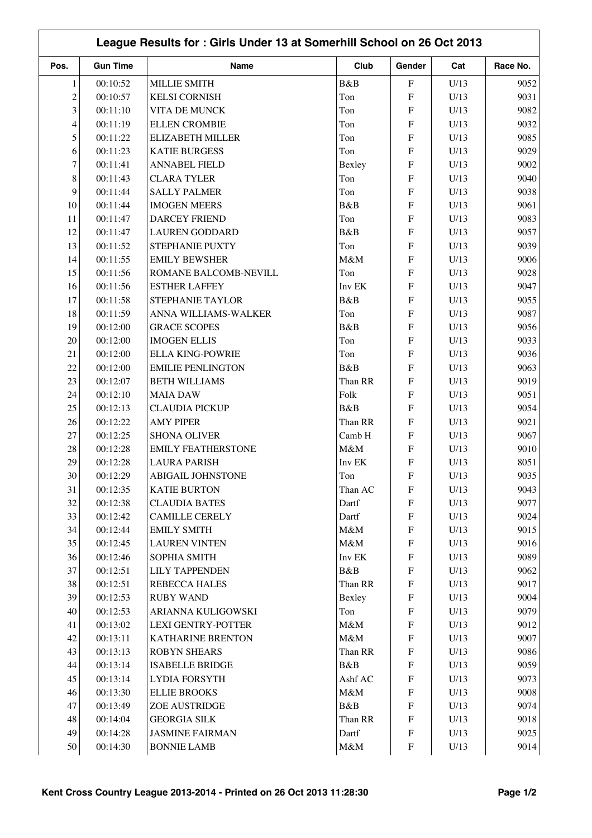| Pos.           | <b>Gun Time</b> | Name                      | Club    | Gender                    | Cat  | Race No. |
|----------------|-----------------|---------------------------|---------|---------------------------|------|----------|
| $\mathbf{1}$   | 00:10:52        | <b>MILLIE SMITH</b>       | B&B     | $\mathbf F$               | U/13 | 9052     |
| $\overline{c}$ | 00:10:57        | <b>KELSI CORNISH</b>      | Ton     | F                         | U/13 | 9031     |
| 3              | 00:11:10        | VITA DE MUNCK             | Ton     | F                         | U/13 | 9082     |
| 4              | 00:11:19        | <b>ELLEN CROMBIE</b>      | Ton     | F                         | U/13 | 9032     |
| 5              | 00:11:22        | <b>ELIZABETH MILLER</b>   | Ton     | F                         | U/13 | 9085     |
| 6              | 00:11:23        | <b>KATIE BURGESS</b>      | Ton     | ${\bf F}$                 | U/13 | 9029     |
| 7              | 00:11:41        | <b>ANNABEL FIELD</b>      | Bexley  | F                         | U/13 | 9002     |
| 8              | 00:11:43        | <b>CLARA TYLER</b>        | Ton     | ${\bf F}$                 | U/13 | 9040     |
| 9              | 00:11:44        | <b>SALLY PALMER</b>       | Ton     | F                         | U/13 | 9038     |
| 10             | 00:11:44        | <b>IMOGEN MEERS</b>       | B&B     | F                         | U/13 | 9061     |
| 11             | 00:11:47        | <b>DARCEY FRIEND</b>      | Ton     | F                         | U/13 | 9083     |
| 12             | 00:11:47        | <b>LAUREN GODDARD</b>     | B&B     | ${\bf F}$                 | U/13 | 9057     |
| 13             | 00:11:52        | STEPHANIE PUXTY           | Ton     | ${\bf F}$                 | U/13 | 9039     |
| 14             | 00:11:55        | <b>EMILY BEWSHER</b>      | M&M     | ${\bf F}$                 | U/13 | 9006     |
| 15             | 00:11:56        | ROMANE BALCOMB-NEVILL     | Ton     | F                         | U/13 | 9028     |
| 16             | 00:11:56        | <b>ESTHER LAFFEY</b>      | Inv EK  | F                         | U/13 | 9047     |
| 17             | 00:11:58        | STEPHANIE TAYLOR          | B&B     | F                         | U/13 | 9055     |
| 18             | 00:11:59        | ANNA WILLIAMS-WALKER      | Ton     | F                         | U/13 | 9087     |
| 19             | 00:12:00        | <b>GRACE SCOPES</b>       | B&B     | F                         | U/13 | 9056     |
| 20             | 00:12:00        | <b>IMOGEN ELLIS</b>       | Ton     | F                         | U/13 | 9033     |
| 21             | 00:12:00        | <b>ELLA KING-POWRIE</b>   | Ton     | F                         | U/13 | 9036     |
| 22             | 00:12:00        | <b>EMILIE PENLINGTON</b>  | B&B     | F                         | U/13 | 9063     |
| 23             | 00:12:07        | <b>BETH WILLIAMS</b>      | Than RR | F                         | U/13 | 9019     |
| 24             | 00:12:10        | <b>MAIA DAW</b>           | Folk    | $\overline{F}$            | U/13 | 9051     |
| 25             | 00:12:13        | <b>CLAUDIA PICKUP</b>     | B&B     | F                         | U/13 | 9054     |
| 26             | 00:12:22        | <b>AMY PIPER</b>          | Than RR | F                         | U/13 | 9021     |
| $27\,$         | 00:12:25        | <b>SHONA OLIVER</b>       | Camb H  | F                         |      | 9067     |
|                |                 |                           |         | ${\bf F}$                 | U/13 |          |
| $28\,$         | 00:12:28        | <b>EMILY FEATHERSTONE</b> | M&M     |                           | U/13 | 9010     |
| 29             | 00:12:28        | <b>LAURA PARISH</b>       | Inv EK  | F                         | U/13 | 8051     |
| $30\,$         | 00:12:29        | ABIGAIL JOHNSTONE         | Ton     | $\boldsymbol{\mathrm{F}}$ | U/13 | 9035     |
| 31             | 00:12:35        | <b>KATIE BURTON</b>       | Than AC | F                         | U/13 | 9043     |
| $32\,$         | 00:12:38        | <b>CLAUDIA BATES</b>      | Dartf   | ${\bf F}$                 | U/13 | 9077     |
| 33             | 00:12:42        | <b>CAMILLE CERELY</b>     | Dartf   | ${\bf F}$                 | U/13 | 9024     |
| 34             | 00:12:44        | <b>EMILY SMITH</b>        | $M\&M$  | ${\bf F}$                 | U/13 | 9015     |
| 35             | 00:12:45        | <b>LAUREN VINTEN</b>      | $M\&M$  | ${\bf F}$                 | U/13 | 9016     |
| 36             | 00:12:46        | SOPHIA SMITH              | Inv EK  | ${\bf F}$                 | U/13 | 9089     |
| 37             | 00:12:51        | <b>LILY TAPPENDEN</b>     | B&B     | ${\rm F}$                 | U/13 | 9062     |
| 38             | 00:12:51        | <b>REBECCA HALES</b>      | Than RR | ${\bf F}$                 | U/13 | 9017     |
| 39             | 00:12:53        | <b>RUBY WAND</b>          | Bexley  | ${\bf F}$                 | U/13 | 9004     |
| 40             | 00:12:53        | ARIANNA KULIGOWSKI        | Ton     | ${\bf F}$                 | U/13 | 9079     |
| 41             | 00:13:02        | <b>LEXI GENTRY-POTTER</b> | M&M     | ${\bf F}$                 | U/13 | 9012     |
| 42             | 00:13:11        | <b>KATHARINE BRENTON</b>  | $M\&M$  | ${\bf F}$                 | U/13 | 9007     |
| 43             | 00:13:13        | <b>ROBYN SHEARS</b>       | Than RR | ${\bf F}$                 | U/13 | 9086     |
| 44             | 00:13:14        | <b>ISABELLE BRIDGE</b>    | B&B     | ${\bf F}$                 | U/13 | 9059     |
| $45\,$         | 00:13:14        | LYDIA FORSYTH             | Ashf AC | ${\bf F}$                 | U/13 | 9073     |
| 46             | 00:13:30        | <b>ELLIE BROOKS</b>       | M&M     | ${\bf F}$                 | U/13 | 9008     |
| 47             | 00:13:49        | ZOE AUSTRIDGE             | B&B     | ${\rm F}$                 | U/13 | 9074     |
| 48             | 00:14:04        | <b>GEORGIA SILK</b>       | Than RR | ${\bf F}$                 | U/13 | 9018     |
| 49             | 00:14:28        | <b>JASMINE FAIRMAN</b>    | Dartf   | ${\bf F}$                 | U/13 | 9025     |
| 50             | 00:14:30        | <b>BONNIE LAMB</b>        | $M\&M$  | ${\bf F}$                 | U/13 | 9014     |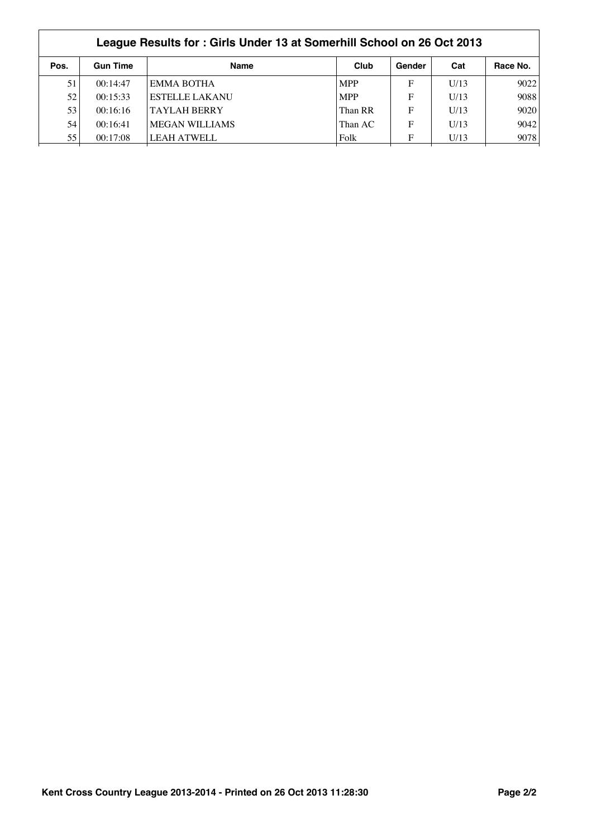|      | League Results for: Girls Under 13 at Somerhill School on 26 Oct 2013 |                       |            |        |      |          |  |  |
|------|-----------------------------------------------------------------------|-----------------------|------------|--------|------|----------|--|--|
| Pos. | <b>Gun Time</b>                                                       | <b>Name</b>           | Club       | Gender | Cat  | Race No. |  |  |
| 51   | 00:14:47                                                              | <b>EMMA BOTHA</b>     | <b>MPP</b> | F      | U/13 | 9022     |  |  |
| 52   | 00:15:33                                                              | <b>ESTELLE LAKANU</b> | <b>MPP</b> | F      | U/13 | 9088     |  |  |
| 53   | 00:16:16                                                              | <b>TAYLAH BERRY</b>   | Than RR    | F      | U/13 | 9020     |  |  |
| 54   | 00:16:41                                                              | <b>MEGAN WILLIAMS</b> | Than AC    | F      | U/13 | 9042     |  |  |
| 55   | 00:17:08                                                              | LEAH ATWELL           | Folk       | F      | U/13 | 9078     |  |  |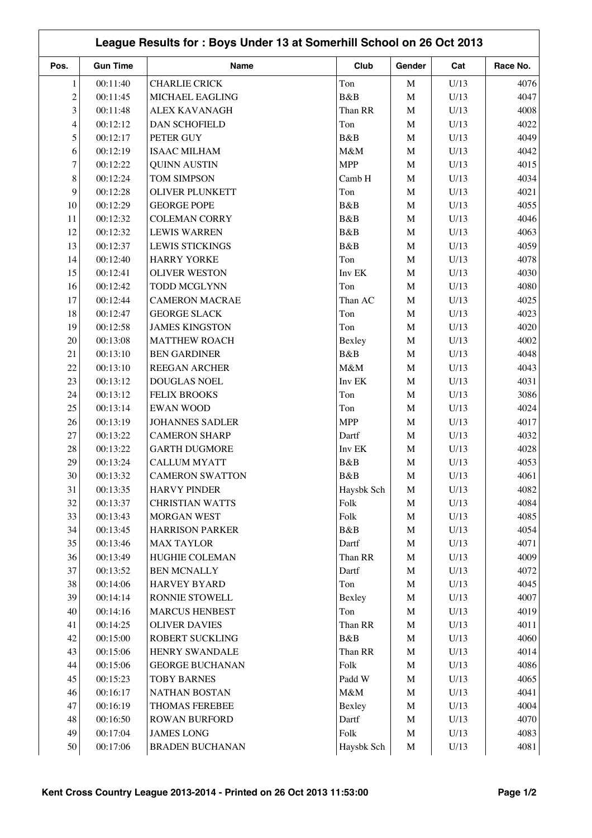| League Results for: Boys Under 13 at Somerhill School on 26 Oct 2013 |                 |                        |            |             |      |          |  |
|----------------------------------------------------------------------|-----------------|------------------------|------------|-------------|------|----------|--|
| Pos.                                                                 | <b>Gun Time</b> | <b>Name</b>            | Club       | Gender      | Cat  | Race No. |  |
| $\mathbf{1}$                                                         | 00:11:40        | <b>CHARLIE CRICK</b>   | Ton        | M           | U/13 | 4076     |  |
| $\overline{c}$                                                       | 00:11:45        | MICHAEL EAGLING        | B&B        | $\mathbf M$ | U/13 | 4047     |  |
| 3                                                                    | 00:11:48        | <b>ALEX KAVANAGH</b>   | Than RR    | M           | U/13 | 4008     |  |
| 4                                                                    | 00:12:12        | <b>DAN SCHOFIELD</b>   | Ton        | M           | U/13 | 4022     |  |
| 5                                                                    | 00:12:17        | PETER GUY              | B&B        | $\mathbf M$ | U/13 | 4049     |  |
| 6                                                                    | 00:12:19        | <b>ISAAC MILHAM</b>    | M&M        | $\mathbf M$ | U/13 | 4042     |  |
| 7                                                                    | 00:12:22        | <b>QUINN AUSTIN</b>    | <b>MPP</b> | $\mathbf M$ | U/13 | 4015     |  |
| 8                                                                    | 00:12:24        | TOM SIMPSON            | Camb H     | M           | U/13 | 4034     |  |
| 9                                                                    | 00:12:28        | <b>OLIVER PLUNKETT</b> | Ton        | $\mathbf M$ | U/13 | 4021     |  |
| 10                                                                   | 00:12:29        | <b>GEORGE POPE</b>     | B&B        | $\mathbf M$ | U/13 | 4055     |  |
| 11                                                                   | 00:12:32        | <b>COLEMAN CORRY</b>   | B&B        | M           | U/13 | 4046     |  |
| 12                                                                   | 00:12:32        | <b>LEWIS WARREN</b>    | B&B        | M           | U/13 | 4063     |  |
| 13                                                                   | 00:12:37        | <b>LEWIS STICKINGS</b> | B&B        | $\mathbf M$ | U/13 | 4059     |  |
| 14                                                                   | 00:12:40        | <b>HARRY YORKE</b>     | Ton        | M           | U/13 | 4078     |  |
| 15                                                                   | 00:12:41        | <b>OLIVER WESTON</b>   | Inv EK     | M           | U/13 | 4030     |  |
| 16                                                                   | 00:12:42        | TODD MCGLYNN           | Ton        | $\mathbf M$ | U/13 | 4080     |  |
| 17                                                                   | 00:12:44        | <b>CAMERON MACRAE</b>  | Than AC    |             | U/13 | 4025     |  |
|                                                                      |                 |                        |            | M           |      |          |  |
| 18                                                                   | 00:12:47        | <b>GEORGE SLACK</b>    | Ton        | M           | U/13 | 4023     |  |
| 19                                                                   | 00:12:58        | <b>JAMES KINGSTON</b>  | Ton        | $\mathbf M$ | U/13 | 4020     |  |
| 20                                                                   | 00:13:08        | <b>MATTHEW ROACH</b>   | Bexley     | $\mathbf M$ | U/13 | 4002     |  |
| 21                                                                   | 00:13:10        | <b>BEN GARDINER</b>    | B&B        | $\mathbf M$ | U/13 | 4048     |  |
| 22                                                                   | 00:13:10        | REEGAN ARCHER          | M&M        | M           | U/13 | 4043     |  |
| 23                                                                   | 00:13:12        | DOUGLAS NOEL           | Inv EK     | M           | U/13 | 4031     |  |
| 24                                                                   | 00:13:12        | <b>FELIX BROOKS</b>    | Ton        | $\mathbf M$ | U/13 | 3086     |  |
| 25                                                                   | 00:13:14        | <b>EWAN WOOD</b>       | Ton        | $\mathbf M$ | U/13 | 4024     |  |
| 26                                                                   | 00:13:19        | <b>JOHANNES SADLER</b> | <b>MPP</b> | M           | U/13 | 4017     |  |
| 27                                                                   | 00:13:22        | <b>CAMERON SHARP</b>   | Dartf      | M           | U/13 | 4032     |  |
| $28\,$                                                               | 00:13:22        | <b>GARTH DUGMORE</b>   | Inv EK     | $\mathbf M$ | U/13 | 4028     |  |
| 29                                                                   | 00:13:24        | <b>CALLUM MYATT</b>    | B&B        | $\mathbf M$ | U/13 | 4053     |  |
| $30\,$                                                               | 00:13:32        | <b>CAMERON SWATTON</b> | B&B        | M           | U/13 | 4061     |  |
| 31                                                                   | 00:13:35        | <b>HARVY PINDER</b>    | Haysbk Sch | M           | U/13 | 4082     |  |
| $32\,$                                                               | 00:13:37        | <b>CHRISTIAN WATTS</b> | Folk       | $\mathbf M$ | U/13 | 4084     |  |
| 33                                                                   | 00:13:43        | MORGAN WEST            | Folk       | $\mathbf M$ | U/13 | 4085     |  |
| 34                                                                   | 00:13:45        | <b>HARRISON PARKER</b> | B&B        | M           | U/13 | 4054     |  |
| 35                                                                   | 00:13:46        | <b>MAX TAYLOR</b>      | Dartf      | $\mathbf M$ | U/13 | 4071     |  |
| 36                                                                   | 00:13:49        | HUGHIE COLEMAN         | Than RR    | M           | U/13 | 4009     |  |
| 37                                                                   |                 | <b>BEN MCNALLY</b>     |            |             |      |          |  |
|                                                                      | 00:13:52        |                        | Dartf      | $\mathbf M$ | U/13 | 4072     |  |
| 38                                                                   | 00:14:06        | <b>HARVEY BYARD</b>    | Ton        | M           | U/13 | 4045     |  |
| 39                                                                   | 00:14:14        | RONNIE STOWELL         | Bexley     | $\mathbf M$ | U/13 | 4007     |  |
| 40                                                                   | 00:14:16        | <b>MARCUS HENBEST</b>  | Ton        | $\mathbf M$ | U/13 | 4019     |  |
| 41                                                                   | 00:14:25        | <b>OLIVER DAVIES</b>   | Than RR    | M           | U/13 | 4011     |  |
| 42                                                                   | 00:15:00        | ROBERT SUCKLING        | B&B        | $\mathbf M$ | U/13 | 4060     |  |
| 43                                                                   | 00:15:06        | HENRY SWANDALE         | Than RR    | M           | U/13 | 4014     |  |
| 44                                                                   | 00:15:06        | <b>GEORGE BUCHANAN</b> | Folk       | $\mathbf M$ | U/13 | 4086     |  |
| 45                                                                   | 00:15:23        | <b>TOBY BARNES</b>     | Padd W     | M           | U/13 | 4065     |  |
| 46                                                                   | 00:16:17        | <b>NATHAN BOSTAN</b>   | $M\&M$     | $\mathbf M$ | U/13 | 4041     |  |
| 47                                                                   | 00:16:19        | THOMAS FEREBEE         | Bexley     | $\mathbf M$ | U/13 | 4004     |  |
| 48                                                                   | 00:16:50        | <b>ROWAN BURFORD</b>   | Dartf      | $\mathbf M$ | U/13 | 4070     |  |
| 49                                                                   | 00:17:04        | <b>JAMES LONG</b>      | Folk       | M           | U/13 | 4083     |  |
| 50                                                                   | 00:17:06        | <b>BRADEN BUCHANAN</b> | Haysbk Sch | $\mathbf M$ | U/13 | 4081     |  |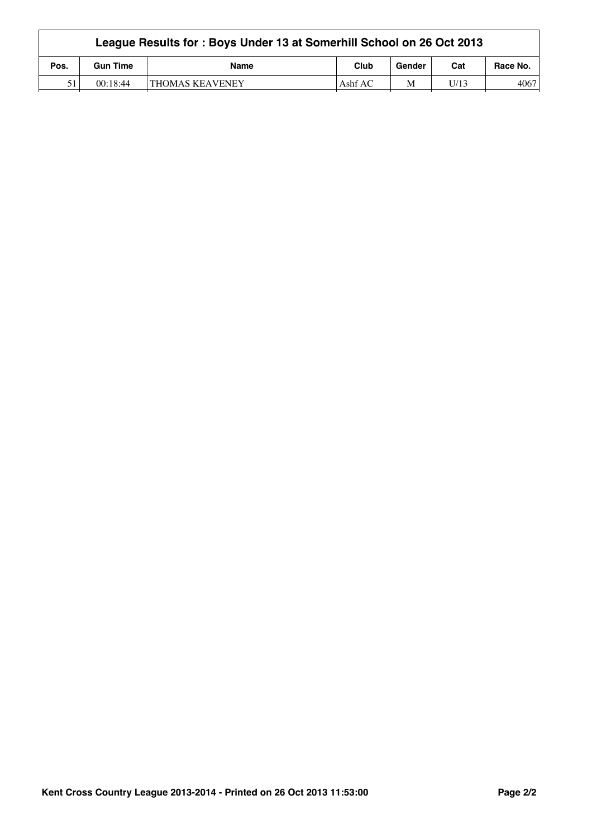|      | League Results for: Boys Under 13 at Somerhill School on 26 Oct 2013 |                        |           |        |      |          |  |  |
|------|----------------------------------------------------------------------|------------------------|-----------|--------|------|----------|--|--|
| Pos. | <b>Gun Time</b>                                                      | <b>Name</b>            | Club      | Gender | Cat  | Race No. |  |  |
| 51   | 00:18:44                                                             | <b>THOMAS KEAVENEY</b> | Ashf $AC$ | M      | U/13 | 4067     |  |  |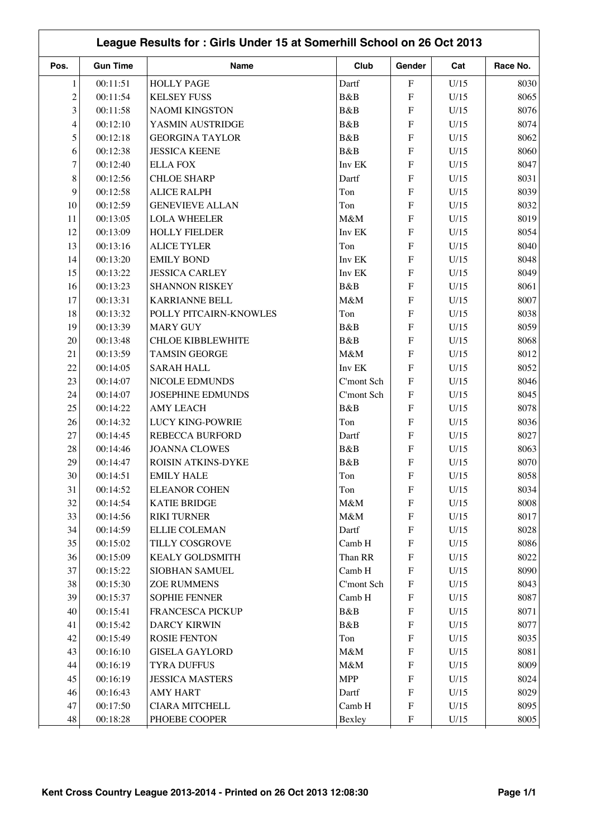|                |                 | League Results for: Girls Under 15 at Somerhill School on 26 Oct 2013 |            |                           |      |              |
|----------------|-----------------|-----------------------------------------------------------------------|------------|---------------------------|------|--------------|
| Pos.           | <b>Gun Time</b> | Name                                                                  | Club       | Gender                    | Cat  | Race No.     |
| $\mathbf{1}$   | 00:11:51        | <b>HOLLY PAGE</b>                                                     | Dartf      | $\mathbf F$               | U/15 | 8030         |
| $\overline{c}$ | 00:11:54        | <b>KELSEY FUSS</b>                                                    | B&B        | $\mathbf{F}$              | U/15 | 8065         |
| 3              | 00:11:58        | <b>NAOMI KINGSTON</b>                                                 | B&B        | F                         | U/15 | 8076         |
| 4              | 00:12:10        | YASMIN AUSTRIDGE                                                      | B&B        | F                         | U/15 | 8074         |
| 5              | 00:12:18        | <b>GEORGINA TAYLOR</b>                                                | B&B        | F                         | U/15 | 8062         |
| 6              | 00:12:38        | <b>JESSICA KEENE</b>                                                  | B&B        | $\mathbf{F}$              | U/15 | 8060         |
| 7              | 00:12:40        | <b>ELLA FOX</b>                                                       | Inv EK     | F                         | U/15 | 8047         |
| 8              | 00:12:56        | <b>CHLOE SHARP</b>                                                    | Dartf      | F                         | U/15 | 8031         |
| 9              | 00:12:58        | <b>ALICE RALPH</b>                                                    | Ton        | F                         | U/15 | 8039         |
| 10             | 00:12:59        | <b>GENEVIEVE ALLAN</b>                                                | Ton        | $\mathbf{F}$              | U/15 | 8032         |
| 11             | 00:13:05        | <b>LOLA WHEELER</b>                                                   | M&M        | $\mathbf F$               | U/15 | 8019         |
| 12             | 00:13:09        | <b>HOLLY FIELDER</b>                                                  | Inv EK     | F                         | U/15 | 8054         |
| 13             | 00:13:16        | <b>ALICE TYLER</b>                                                    | Ton        | $\mathbf F$               | U/15 | 8040         |
| 14             | 00:13:20        | <b>EMILY BOND</b>                                                     | Inv EK     | $\mathbf{F}$              | U/15 | 8048         |
| 15             | 00:13:22        | <b>JESSICA CARLEY</b>                                                 | Inv EK     | F                         | U/15 | 8049         |
| 16             | 00:13:23        | <b>SHANNON RISKEY</b>                                                 | B&B        | F                         | U/15 | 8061         |
| 17             | 00:13:31        | <b>KARRIANNE BELL</b>                                                 | M&M        | F                         | U/15 | 8007         |
| 18             | 00:13:32        | POLLY PITCAIRN-KNOWLES                                                | Ton        | F                         | U/15 | 8038         |
| 19             | 00:13:39        | <b>MARY GUY</b>                                                       | B&B        | F                         | U/15 | 8059         |
| 20             | 00:13:48        | <b>CHLOE KIBBLEWHITE</b>                                              | B&B        | F                         | U/15 | 8068         |
| 21             | 00:13:59        | <b>TAMSIN GEORGE</b>                                                  | M&M        | $\mathbf{F}$              | U/15 | 8012         |
| 22             | 00:14:05        | <b>SARAH HALL</b>                                                     | Inv EK     | $\mathbf{F}$              | U/15 | 8052         |
| 23             | 00:14:07        | NICOLE EDMUNDS                                                        | C'mont Sch | F                         | U/15 | 8046         |
| 24             | 00:14:07        | <b>JOSEPHINE EDMUNDS</b>                                              | C'mont Sch | F                         | U/15 | 8045         |
| 25             | 00:14:22        | <b>AMY LEACH</b>                                                      | B&B        | F                         | U/15 | 8078         |
| 26             | 00:14:32        | <b>LUCY KING-POWRIE</b>                                               | Ton        | $\mathbf{F}$              | U/15 | 8036         |
| 27             | 00:14:45        | <b>REBECCA BURFORD</b>                                                | Dartf      | $\mathbf F$               | U/15 | 8027         |
| $28\,$         | 00:14:46        | <b>JOANNA CLOWES</b>                                                  | B&B        | $\mathbf F$               | U/15 | 8063         |
| 29             | 00:14:47        | ROISIN ATKINS-DYKE                                                    | B&B        | $\mathbf{F}$              | U/15 | 8070         |
| 30             | 00:14:51        | <b>EMILY HALE</b>                                                     | Ton        | ${\bf F}$                 | U/15 | 8058         |
| 31             | 00:14:52        | <b>ELEANOR COHEN</b>                                                  | Ton        | F                         | U/15 | 8034         |
| 32             | 00:14:54        | <b>KATIE BRIDGE</b>                                                   | M&M        | $\boldsymbol{\mathrm{F}}$ | U/15 | 8008         |
| 33             | 00:14:56        | <b>RIKI TURNER</b>                                                    | $M\&M$     | $\boldsymbol{\mathrm{F}}$ | U/15 | 8017         |
| 34             | 00:14:59        | <b>ELLIE COLEMAN</b>                                                  | Dartf      | $\boldsymbol{\mathrm{F}}$ | U/15 | 8028         |
| 35             | 00:15:02        | TILLY COSGROVE                                                        | Camb H     | $\boldsymbol{\mathrm{F}}$ | U/15 | 8086         |
| 36             | 00:15:09        | <b>KEALY GOLDSMITH</b>                                                | Than RR    | $\boldsymbol{\mathrm{F}}$ | U/15 | 8022         |
| 37             | 00:15:22        | SIOBHAN SAMUEL                                                        | Camb H     | F                         | U/15 | 8090         |
| 38             | 00:15:30        | <b>ZOE RUMMENS</b>                                                    | C'mont Sch | $\boldsymbol{\mathrm{F}}$ | U/15 | 8043         |
| 39             | 00:15:37        | <b>SOPHIE FENNER</b>                                                  | Camb H     | $\boldsymbol{\mathrm{F}}$ | U/15 | 8087         |
| 40             | 00:15:41        | FRANCESCA PICKUP                                                      | B&B        | $\boldsymbol{\mathrm{F}}$ | U/15 | 8071         |
| 41             | 00:15:42        | <b>DARCY KIRWIN</b>                                                   | B&B        | $\boldsymbol{\mathrm{F}}$ | U/15 | 8077         |
| 42             | 00:15:49        | <b>ROSIE FENTON</b>                                                   | Ton        | $\boldsymbol{\mathrm{F}}$ | U/15 | 8035         |
| 43             | 00:16:10        | <b>GISELA GAYLORD</b>                                                 | M&M        | $\boldsymbol{\mathrm{F}}$ | U/15 | 8081         |
| 44             | 00:16:19        | <b>TYRA DUFFUS</b>                                                    | $M\&M$     | $\boldsymbol{\mathrm{F}}$ | U/15 | 8009         |
| 45             |                 |                                                                       |            |                           |      |              |
|                | 00:16:19        | <b>JESSICA MASTERS</b>                                                | <b>MPP</b> | $\boldsymbol{\mathrm{F}}$ | U/15 | 8024<br>8029 |
| 46             | 00:16:43        | <b>AMY HART</b>                                                       | Dartf      | $\boldsymbol{\mathrm{F}}$ | U/15 |              |
| 47             | 00:17:50        | <b>CIARA MITCHELL</b>                                                 | Camb H     | $\boldsymbol{\mathrm{F}}$ | U/15 | 8095         |
| 48             | 00:18:28        | PHOEBE COOPER                                                         | Bexley     | $\boldsymbol{\mathrm{F}}$ | U/15 | 8005         |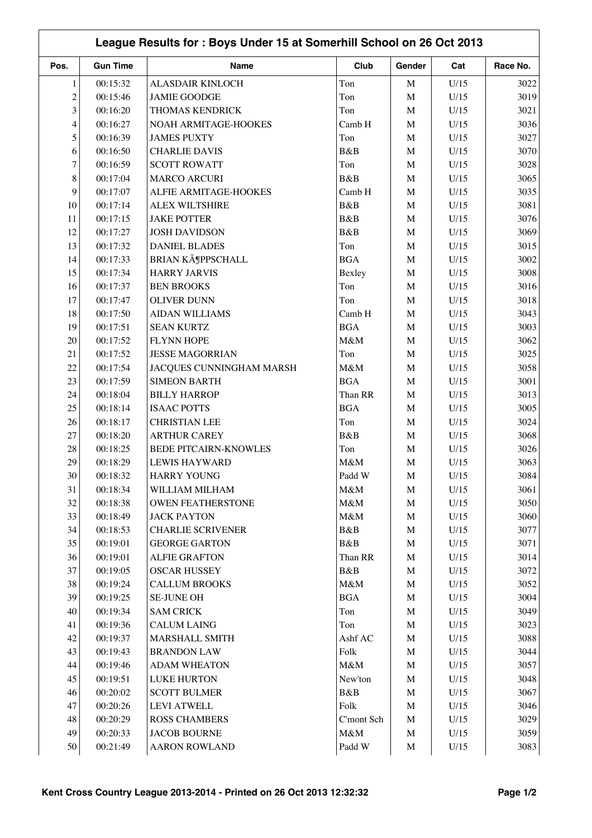|                | League Results for: Boys Under 15 at Somerhill School on 26 Oct 2013 |                              |            |             |      |          |  |  |  |
|----------------|----------------------------------------------------------------------|------------------------------|------------|-------------|------|----------|--|--|--|
| Pos.           | <b>Gun Time</b>                                                      | Name                         | Club       | Gender      | Cat  | Race No. |  |  |  |
| $\mathbf{1}$   | 00:15:32                                                             | ALASDAIR KINLOCH             | Ton        | M           | U/15 | 3022     |  |  |  |
| $\overline{c}$ | 00:15:46                                                             | <b>JAMIE GOODGE</b>          | Ton        | $\mathbf M$ | U/15 | 3019     |  |  |  |
| 3              | 00:16:20                                                             | <b>THOMAS KENDRICK</b>       | Ton        | $\mathbf M$ | U/15 | 3021     |  |  |  |
| 4              | 00:16:27                                                             | NOAH ARMITAGE-HOOKES         | Camb H     | M           | U/15 | 3036     |  |  |  |
| 5              | 00:16:39                                                             | <b>JAMES PUXTY</b>           | Ton        | $\mathbf M$ | U/15 | 3027     |  |  |  |
| 6              | 00:16:50                                                             | <b>CHARLIE DAVIS</b>         | B&B        | $\mathbf M$ | U/15 | 3070     |  |  |  |
| 7              | 00:16:59                                                             | <b>SCOTT ROWATT</b>          | Ton        | $\mathbf M$ | U/15 | 3028     |  |  |  |
| $8\,$          | 00:17:04                                                             | <b>MARCO ARCURI</b>          | B&B        | M           | U/15 | 3065     |  |  |  |
| 9              | 00:17:07                                                             | ALFIE ARMITAGE-HOOKES        | Camb H     | M           | U/15 | 3035     |  |  |  |
| 10             | 00:17:14                                                             | <b>ALEX WILTSHIRE</b>        | B&B        | $\mathbf M$ | U/15 | 3081     |  |  |  |
| 11             | 00:17:15                                                             | <b>JAKE POTTER</b>           | B&B        | M           | U/15 | 3076     |  |  |  |
| 12             | 00:17:27                                                             | <b>JOSH DAVIDSON</b>         | B&B        | M           | U/15 | 3069     |  |  |  |
| 13             | 00:17:32                                                             | <b>DANIEL BLADES</b>         | Ton        | $\mathbf M$ | U/15 | 3015     |  |  |  |
| 14             | 00:17:33                                                             | <b>BRIAN KöPPSCHALL</b>      | <b>BGA</b> | M           | U/15 | 3002     |  |  |  |
| 15             | 00:17:34                                                             | <b>HARRY JARVIS</b>          | Bexley     | M           | U/15 | 3008     |  |  |  |
| 16             | 00:17:37                                                             | <b>BEN BROOKS</b>            | Ton        | M           | U/15 | 3016     |  |  |  |
| 17             | 00:17:47                                                             | <b>OLIVER DUNN</b>           | Ton        | $\mathbf M$ | U/15 | 3018     |  |  |  |
| 18             | 00:17:50                                                             | <b>AIDAN WILLIAMS</b>        | Camb H     | M           | U/15 | 3043     |  |  |  |
| 19             | 00:17:51                                                             | <b>SEAN KURTZ</b>            | <b>BGA</b> | M           | U/15 | 3003     |  |  |  |
| 20             | 00:17:52                                                             | <b>FLYNN HOPE</b>            | M&M        | $\mathbf M$ | U/15 | 3062     |  |  |  |
| 21             | 00:17:52                                                             | <b>JESSE MAGORRIAN</b>       | Ton        | $\mathbf M$ | U/15 | 3025     |  |  |  |
| 22             | 00:17:54                                                             | JACQUES CUNNINGHAM MARSH     | M&M        | M           | U/15 | 3058     |  |  |  |
| 23             | 00:17:59                                                             | <b>SIMEON BARTH</b>          | <b>BGA</b> | M           | U/15 | 3001     |  |  |  |
| 24             | 00:18:04                                                             | <b>BILLY HARROP</b>          | Than RR    | M           | U/15 | 3013     |  |  |  |
| 25             | 00:18:14                                                             | <b>ISAAC POTTS</b>           | <b>BGA</b> | M           | U/15 | 3005     |  |  |  |
| 26             | 00:18:17                                                             | <b>CHRISTIAN LEE</b>         | Ton        | M           | U/15 | 3024     |  |  |  |
| 27             | 00:18:20                                                             | <b>ARTHUR CAREY</b>          | B&B        | M           | U/15 | 3068     |  |  |  |
| 28             | 00:18:25                                                             | <b>BEDE PITCAIRN-KNOWLES</b> | Ton        | M           | U/15 | 3026     |  |  |  |
| 29             | 00:18:29                                                             | <b>LEWIS HAYWARD</b>         | M&M        | $\mathbf M$ | U/15 | 3063     |  |  |  |
| $30\,$         | 00:18:32                                                             | <b>HARRY YOUNG</b>           | Padd W     | M           | U/15 | 3084     |  |  |  |
| 31             | 00:18:34                                                             | WILLIAM MILHAM               | M&M        | M           | U/15 | 3061     |  |  |  |
| 32             | 00:18:38                                                             | <b>OWEN FEATHERSTONE</b>     | M&M        | $\mathbf M$ | U/15 | 3050     |  |  |  |
| 33             | 00:18:49                                                             | <b>JACK PAYTON</b>           | M&M        | $\mathbf M$ | U/15 | 3060     |  |  |  |
| 34             | 00:18:53                                                             | <b>CHARLIE SCRIVENER</b>     | B&B        | M           | U/15 | 3077     |  |  |  |
| 35             | 00:19:01                                                             | <b>GEORGE GARTON</b>         | B&B        | M           | U/15 | 3071     |  |  |  |
| 36             | 00:19:01                                                             | <b>ALFIE GRAFTON</b>         | Than RR    | M           | U/15 | 3014     |  |  |  |
| 37             | 00:19:05                                                             | <b>OSCAR HUSSEY</b>          | B&B        | M           | U/15 | 3072     |  |  |  |
| 38             | 00:19:24                                                             | <b>CALLUM BROOKS</b>         | $M\&M$     | M           | U/15 | 3052     |  |  |  |
| 39             | 00:19:25                                                             | <b>SE-JUNE OH</b>            | <b>BGA</b> | $\mathbf M$ | U/15 | 3004     |  |  |  |
| 40             | 00:19:34                                                             | <b>SAM CRICK</b>             | Ton        | $\mathbf M$ | U/15 | 3049     |  |  |  |
| 41             | 00:19:36                                                             | <b>CALUM LAING</b>           | Ton        | $\mathbf M$ | U/15 | 3023     |  |  |  |
| 42             | 00:19:37                                                             | <b>MARSHALL SMITH</b>        | Ashf AC    | M           | U/15 | 3088     |  |  |  |
| 43             | 00:19:43                                                             | <b>BRANDON LAW</b>           | Folk       | $\mathbf M$ | U/15 | 3044     |  |  |  |
| 44             | 00:19:46                                                             | <b>ADAM WHEATON</b>          | $M\&M$     | $\mathbf M$ | U/15 | 3057     |  |  |  |
| 45             | 00:19:51                                                             | <b>LUKE HURTON</b>           | New'ton    | M           | U/15 | 3048     |  |  |  |
| 46             | 00:20:02                                                             | <b>SCOTT BULMER</b>          | B&B        | M           | U/15 | 3067     |  |  |  |
| 47             | 00:20:26                                                             | <b>LEVI ATWELL</b>           | Folk       | $\mathbf M$ | U/15 | 3046     |  |  |  |
| 48             | 00:20:29                                                             | <b>ROSS CHAMBERS</b>         | C'mont Sch | M           | U/15 | 3029     |  |  |  |
| 49             | 00:20:33                                                             | <b>JACOB BOURNE</b>          | $M\&M$     | M           | U/15 | 3059     |  |  |  |
| 50             | 00:21:49                                                             | <b>AARON ROWLAND</b>         | Padd W     | $\mathbf M$ | U/15 | 3083     |  |  |  |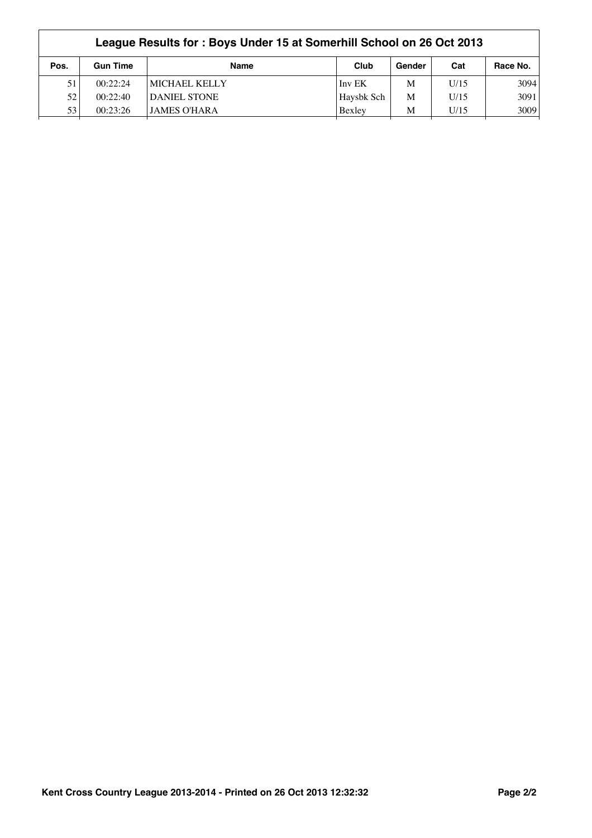|      | League Results for: Boys Under 15 at Somerhill School on 26 Oct 2013 |                     |            |        |      |          |  |  |
|------|----------------------------------------------------------------------|---------------------|------------|--------|------|----------|--|--|
| Pos. | <b>Gun Time</b>                                                      | <b>Name</b>         | Club       | Gender | Cat  | Race No. |  |  |
| 51   | 00:22:24                                                             | MICHAEL KELLY       | Inv EK     | M      | U/15 | 3094     |  |  |
| 52   | 00:22:40                                                             | <b>DANIEL STONE</b> | Haysbk Sch | M      | U/15 | 3091     |  |  |
| 53   | 00:23:26                                                             | JAMES O'HARA        | Bexley     | M      | U/15 | 3009     |  |  |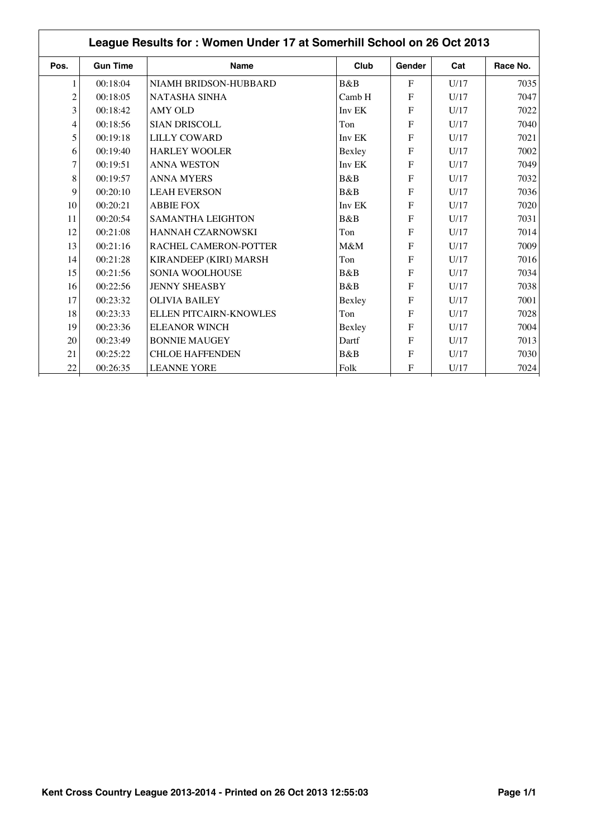| Pos.           | <b>Gun Time</b> | <b>Name</b>              | Club   | Gender       | Cat  | Race No. |
|----------------|-----------------|--------------------------|--------|--------------|------|----------|
|                | 00:18:04        | NIAMH BRIDSON-HUBBARD    | B&B    | $\mathbf{F}$ | U/17 | 7035     |
| $\overline{c}$ | 00:18:05        | <b>NATASHA SINHA</b>     | Camb H | F            | U/17 | 7047     |
| 3              | 00:18:42        | <b>AMY OLD</b>           | Inv EK | $\mathbf{F}$ | U/17 | 7022     |
| 4              | 00:18:56        | <b>SIAN DRISCOLL</b>     | Ton    | $\mathbf{F}$ | U/17 | 7040     |
| 5              | 00:19:18        | <b>LILLY COWARD</b>      | Inv EK | $\mathbf{F}$ | U/17 | 7021     |
| 6              | 00:19:40        | <b>HARLEY WOOLER</b>     | Bexley | F            | U/17 | 7002     |
| 7              | 00:19:51        | <b>ANNA WESTON</b>       | Inv EK | F            | U/17 | 7049     |
| 8              | 00:19:57        | <b>ANNA MYERS</b>        | B&B    | F            | U/17 | 7032     |
| 9              | 00:20:10        | <b>LEAH EVERSON</b>      | B&B    | F            | U/17 | 7036     |
| 10             | 00:20:21        | <b>ABBIE FOX</b>         | Inv EK | F            | U/17 | 7020     |
| 11             | 00:20:54        | <b>SAMANTHA LEIGHTON</b> | B&B    | F            | U/17 | 7031     |
| 12             | 00:21:08        | <b>HANNAH CZARNOWSKI</b> | Ton    | F            | U/17 | 7014     |
| 13             | 00:21:16        | RACHEL CAMERON-POTTER    | M&M    | F            | U/17 | 7009     |
| 14             | 00:21:28        | KIRANDEEP (KIRI) MARSH   | Ton    | F            | U/17 | 7016     |
| 15             | 00:21:56        | SONIA WOOLHOUSE          | B&B    | F            | U/17 | 7034     |
| 16             | 00:22:56        | <b>JENNY SHEASBY</b>     | B&B    | F            | U/17 | 7038     |
| 17             | 00:23:32        | <b>OLIVIA BAILEY</b>     | Bexley | F            | U/17 | 7001     |
| 18             | 00:23:33        | ELLEN PITCAIRN-KNOWLES   | Ton    | F            | U/17 | 7028     |
| 19             | 00:23:36        | <b>ELEANOR WINCH</b>     | Bexley | F            | U/17 | 7004     |
| 20             | 00:23:49        | <b>BONNIE MAUGEY</b>     | Dartf  | $\mathbf{F}$ | U/17 | 7013     |
| 21             | 00:25:22        | <b>CHLOE HAFFENDEN</b>   | B&B    | $\mathbf{F}$ | U/17 | 7030     |
| 22             | 00:26:35        | <b>LEANNE YORE</b>       | Folk   | F            | U/17 | 7024     |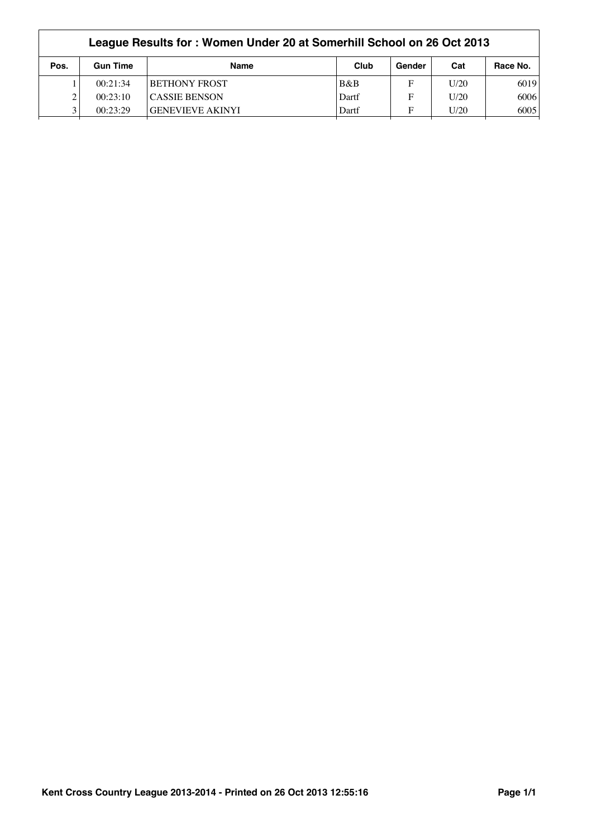|      | League Results for: Women Under 20 at Somerhill School on 26 Oct 2013 |                         |       |        |      |          |  |  |  |
|------|-----------------------------------------------------------------------|-------------------------|-------|--------|------|----------|--|--|--|
| Pos. | <b>Gun Time</b>                                                       | <b>Name</b>             | Club  | Gender | Cat  | Race No. |  |  |  |
|      | 00:21:34                                                              | <b>BETHONY FROST</b>    | B&B   | F      | U/20 | 6019     |  |  |  |
|      | 00:23:10                                                              | <b>CASSIE BENSON</b>    | Dartf | F      | U/20 | 6006     |  |  |  |
|      | 00:23:29                                                              | <b>GENEVIEVE AKINYI</b> | Dartf | F      | U/20 | 6005     |  |  |  |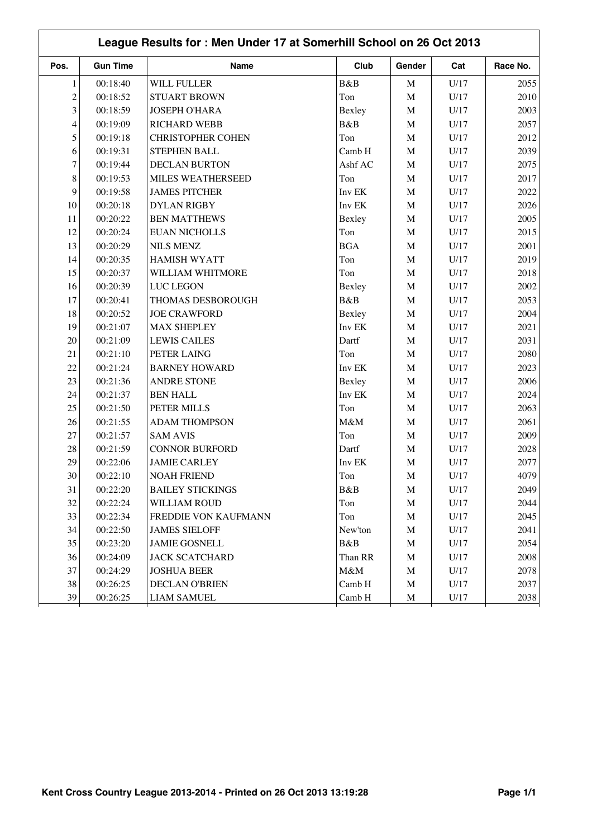|                         |                 | League Results for: Men Under 17 at Somerhill School on 26 Oct 2013 |            |             |      |          |
|-------------------------|-----------------|---------------------------------------------------------------------|------------|-------------|------|----------|
| Pos.                    | <b>Gun Time</b> | <b>Name</b>                                                         | Club       | Gender      | Cat  | Race No. |
| $\mathbf{1}$            | 00:18:40        | WILL FULLER                                                         | B&B        | $\mathbf M$ | U/17 | 2055     |
| $\overline{c}$          | 00:18:52        | <b>STUART BROWN</b>                                                 | Ton        | $\mathbf M$ | U/17 | 2010     |
| 3                       | 00:18:59        | <b>JOSEPH O'HARA</b>                                                | Bexley     | $\mathbf M$ | U/17 | 2003     |
| $\overline{\mathbf{4}}$ | 00:19:09        | <b>RICHARD WEBB</b>                                                 | B&B        | $\mathbf M$ | U/17 | 2057     |
| 5                       | 00:19:18        | <b>CHRISTOPHER COHEN</b>                                            | Ton        | $\mathbf M$ | U/17 | 2012     |
| 6                       | 00:19:31        | <b>STEPHEN BALL</b>                                                 | Camb H     | $\mathbf M$ | U/17 | 2039     |
| $\tau$                  | 00:19:44        | <b>DECLAN BURTON</b>                                                | Ashf AC    | $\mathbf M$ | U/17 | 2075     |
| $8\,$                   | 00:19:53        | MILES WEATHERSEED                                                   | Ton        | M           | U/17 | 2017     |
| 9                       | 00:19:58        | <b>JAMES PITCHER</b>                                                | Inv EK     | $\mathbf M$ | U/17 | 2022     |
| 10                      | 00:20:18        | <b>DYLAN RIGBY</b>                                                  | Inv EK     | M           | U/17 | 2026     |
| 11                      | 00:20:22        | <b>BEN MATTHEWS</b>                                                 | Bexley     | $\mathbf M$ | U/17 | 2005     |
| 12                      | 00:20:24        | <b>EUAN NICHOLLS</b>                                                | Ton        | $\mathbf M$ | U/17 | 2015     |
| 13                      | 00:20:29        | <b>NILS MENZ</b>                                                    | <b>BGA</b> | $\mathbf M$ | U/17 | 2001     |
| 14                      | 00:20:35        | <b>HAMISH WYATT</b>                                                 | Ton        | $\mathbf M$ | U/17 | 2019     |
| 15                      | 00:20:37        | WILLIAM WHITMORE                                                    | Ton        | $\mathbf M$ | U/17 | 2018     |
| 16                      | 00:20:39        | <b>LUC LEGON</b>                                                    | Bexley     | $\mathbf M$ | U/17 | 2002     |
| 17                      | 00:20:41        | THOMAS DESBOROUGH                                                   | B&B        | $\mathbf M$ | U/17 | 2053     |
| 18                      | 00:20:52        | <b>JOE CRAWFORD</b>                                                 | Bexley     | $\mathbf M$ | U/17 | 2004     |
| 19                      | 00:21:07        | <b>MAX SHEPLEY</b>                                                  | Inv EK     | $\mathbf M$ | U/17 | 2021     |
| 20                      | 00:21:09        | <b>LEWIS CAILES</b>                                                 | Dartf      | $\mathbf M$ | U/17 | 2031     |
| 21                      | 00:21:10        | PETER LAING                                                         | Ton        | $\mathbf M$ | U/17 | 2080     |
| 22                      | 00:21:24        | <b>BARNEY HOWARD</b>                                                | Inv EK     | $\mathbf M$ | U/17 | 2023     |
| 23                      | 00:21:36        | <b>ANDRE STONE</b>                                                  | Bexley     | $\mathbf M$ | U/17 | 2006     |
| 24                      | 00:21:37        | <b>BEN HALL</b>                                                     | Inv EK     | $\mathbf M$ | U/17 | 2024     |
| 25                      | 00:21:50        | PETER MILLS                                                         | Ton        | $\mathbf M$ | U/17 | 2063     |
| 26                      | 00:21:55        | <b>ADAM THOMPSON</b>                                                | M&M        | $\mathbf M$ | U/17 | 2061     |
| 27                      | 00:21:57        | <b>SAM AVIS</b>                                                     | Ton        | $\mathbf M$ | U/17 | 2009     |
| 28                      | 00:21:59        | <b>CONNOR BURFORD</b>                                               | Dartf      | $\mathbf M$ | U/17 | 2028     |
| 29                      | 00:22:06        | <b>JAMIE CARLEY</b>                                                 | Inv EK     | $\mathbf M$ | U/17 | 2077     |
| $30\,$                  | 00:22:10        | <b>NOAH FRIEND</b>                                                  | Ton        | M           | U/17 | 4079     |
| 31                      | 00:22:20        | <b>BAILEY STICKINGS</b>                                             | B&B        | M           | U/17 | 2049     |
| 32                      | 00:22:24        | WILLIAM ROUD                                                        | Ton        | $\mathbf M$ | U/17 | 2044     |
| 33                      | 00:22:34        | FREDDIE VON KAUFMANN                                                | Ton        | $\mathbf M$ | U/17 | 2045     |
| 34                      | 00:22:50        | <b>JAMES SIELOFF</b>                                                | New'ton    | $\mathbf M$ | U/17 | 2041     |
| 35                      | 00:23:20        | <b>JAMIE GOSNELL</b>                                                | B&B        | $\mathbf M$ | U/17 | 2054     |
| 36                      | 00:24:09        | <b>JACK SCATCHARD</b>                                               | Than RR    | $\mathbf M$ | U/17 | 2008     |
| 37                      | 00:24:29        | <b>JOSHUA BEER</b>                                                  | M&M        | M           | U/17 | 2078     |
| 38                      | 00:26:25        | DECLAN O'BRIEN                                                      | Camb H     | $\mathbf M$ | U/17 | 2037     |
| 39                      | 00:26:25        | <b>LIAM SAMUEL</b>                                                  | Camb H     | M           | U/17 | 2038     |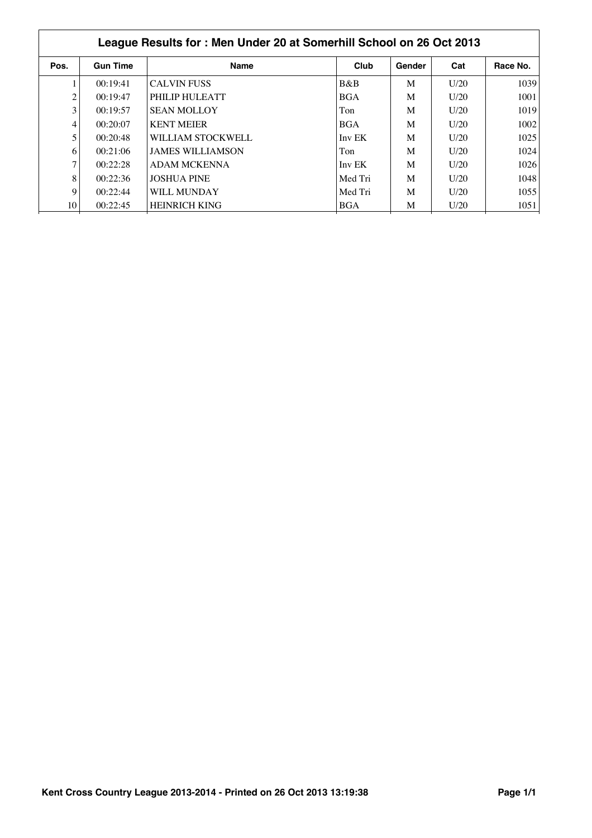|      | League Results for: Men Under 20 at Somerhill School on 26 Oct 2013 |                         |            |        |      |          |  |  |  |
|------|---------------------------------------------------------------------|-------------------------|------------|--------|------|----------|--|--|--|
| Pos. | <b>Gun Time</b>                                                     | <b>Name</b>             | Club       | Gender | Cat  | Race No. |  |  |  |
|      | 00:19:41                                                            | <b>CALVIN FUSS</b>      | B&B        | M      | U/20 | 1039     |  |  |  |
| 2    | 00:19:47                                                            | PHILIP HULEATT          | <b>BGA</b> | M      | U/20 | 1001     |  |  |  |
| 3    | 00:19:57                                                            | <b>SEAN MOLLOY</b>      | Ton        | M      | U/20 | 1019     |  |  |  |
| 4    | 00:20:07                                                            | <b>KENT MEIER</b>       | <b>BGA</b> | M      | U/20 | 1002     |  |  |  |
| 5    | 00:20:48                                                            | WILLIAM STOCKWELL       | Inv EK     | M      | U/20 | 1025     |  |  |  |
| 6    | 00:21:06                                                            | <b>JAMES WILLIAMSON</b> | Ton        | M      | U/20 | 1024     |  |  |  |
|      | 00:22:28                                                            | <b>ADAM MCKENNA</b>     | Inv EK     | M      | U/20 | 1026     |  |  |  |
| 8    | 00:22:36                                                            | <b>JOSHUA PINE</b>      | Med Tri    | M      | U/20 | 1048     |  |  |  |
| 9    | 00:22:44                                                            | WILL MUNDAY             | Med Tri    | M      | U/20 | 1055     |  |  |  |
| 10   | 00:22:45                                                            | <b>HEINRICH KING</b>    | <b>BGA</b> | M      | U/20 | 1051     |  |  |  |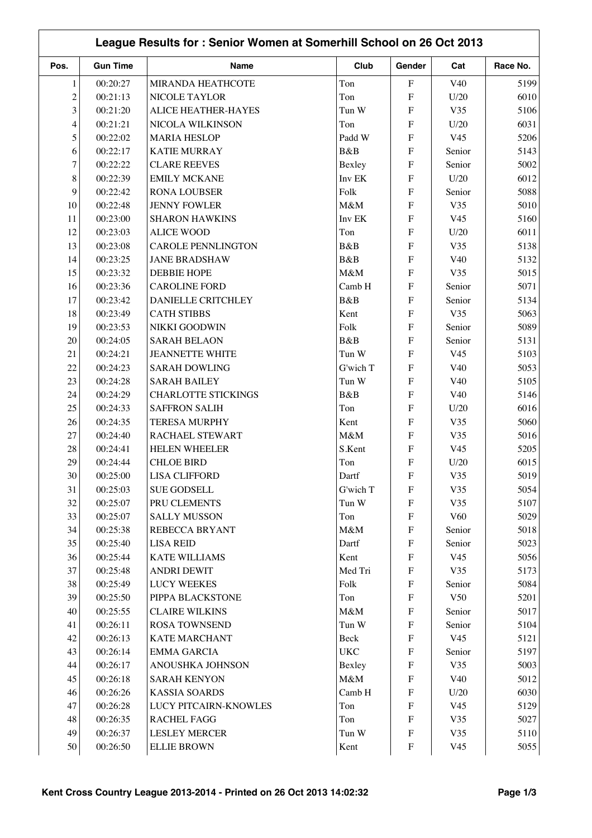| <b>Gun Time</b><br>Club<br>Pos.<br>Name<br>Gender<br>Race No.<br>Cat<br>00:20:27<br>Ton<br>$\mathbf F$<br>$\mathbf{1}$<br>MIRANDA HEATHCOTE<br>V <sub>40</sub><br>5199<br>$\overline{c}$<br>00:21:13<br>NICOLE TAYLOR<br>${\bf F}$<br>Ton<br>U/20<br>6010<br>3<br>00:21:20<br><b>ALICE HEATHER-HAYES</b><br>$\mathbf F$<br>Tun W<br>V35<br>5106<br>6031<br>00:21:21<br>NICOLA WILKINSON<br>Ton<br>${\bf F}$<br>U/20<br>4<br>5<br>00:22:02<br><b>MARIA HESLOP</b><br>Padd W<br>${\bf F}$<br>V <sub>45</sub><br>5206<br>B&B<br>${\bf F}$<br>6<br>00:22:17<br><b>KATIE MURRAY</b><br>Senior<br>5143<br>$\tau$<br>5002<br>00:22:22<br><b>CLARE REEVES</b><br>$\boldsymbol{\mathrm{F}}$<br>Senior<br>Bexley<br>8<br>00:22:39<br>Inv EK<br><b>EMILY MCKANE</b><br>$\boldsymbol{\mathrm{F}}$<br>U/20<br>6012<br>9<br>00:22:42<br><b>RONA LOUBSER</b><br>Folk<br>${\bf F}$<br>Senior<br>5088<br>10<br>00:22:48<br><b>JENNY FOWLER</b><br>M&M<br>$\boldsymbol{\mathrm{F}}$<br>V35<br>5010<br>11<br>00:23:00<br><b>SHARON HAWKINS</b><br>Inv EK<br>${\bf F}$<br>V <sub>45</sub><br>5160<br>12<br>${\bf F}$<br>00:23:03<br><b>ALICE WOOD</b><br>Ton<br>U/20<br>6011<br>13<br>${\bf F}$<br>00:23:08<br><b>CAROLE PENNLINGTON</b><br>B&B<br>V35<br>5138<br>00:23:25<br>B&B<br>${\bf F}$<br>14<br><b>JANE BRADSHAW</b><br>V40<br>5132<br>15<br>00:23:32<br><b>DEBBIE HOPE</b><br>M&M<br>${\bf F}$<br>5015<br>V35<br>16<br>00:23:36<br><b>CAROLINE FORD</b><br>Camb H<br>$\mathbf{F}$<br>Senior<br>5071<br>17<br>00:23:42<br>B&B<br><b>DANIELLE CRITCHLEY</b><br>$\mathbf{F}$<br>5134<br>Senior<br>18<br>00:23:49<br><b>CATH STIBBS</b><br>V35<br>5063<br>Kent<br>${\bf F}$<br>Folk<br>5089<br>19<br>00:23:53<br>NIKKI GOODWIN<br>${\bf F}$<br>Senior<br>${\bf F}$<br>20<br>00:24:05<br><b>SARAH BELAON</b><br>B&B<br>Senior<br>5131<br>21<br>00:24:21<br><b>JEANNETTE WHITE</b><br>Tun W<br>$\boldsymbol{\mathrm{F}}$<br>V <sub>45</sub><br>5103<br>00:24:23<br>5053<br>22<br><b>SARAH DOWLING</b><br>G'wich T<br>${\bf F}$<br>V40<br>23<br>00:24:28<br><b>SARAH BAILEY</b><br>Tun W<br>${\bf F}$<br>V40<br>5105<br>24<br>00:24:29<br><b>CHARLOTTE STICKINGS</b><br>B&B<br>${\bf F}$<br>V40<br>5146<br>25<br>00:24:33<br><b>SAFFRON SALIH</b><br>Ton<br>${\bf F}$<br>U/20<br>6016<br>Kent<br>5060<br>26<br>00:24:35<br><b>TERESA MURPHY</b><br>${\bf F}$<br>V35<br>27<br>5016<br>00:24:40<br>RACHAEL STEWART<br>M&M<br>${\bf F}$<br>V35<br>28<br>00:24:41<br><b>HELEN WHEELER</b><br>S.Kent<br>${\bf F}$<br>V <sub>45</sub><br>5205<br>00:24:44<br><b>CHLOE BIRD</b><br>29<br>F<br>U/20<br>6015<br>Ton<br>$30\,$<br>V35<br>5019<br>00:25:00<br><b>LISA CLIFFORD</b><br>Dartf<br>$\boldsymbol{\mathrm{F}}$<br>${\bf F}$<br>5054<br>31<br>00:25:03<br><b>SUE GODSELL</b><br>G'wich T<br>V35<br>32<br>00:25:07<br>PRU CLEMENTS<br>${\bf F}$<br>V35<br>5107<br>Tun W<br>33<br>${\bf F}$<br>V60<br>00:25:07<br><b>SALLY MUSSON</b><br>Ton<br>5029<br>34<br>00:25:38<br>REBECCA BRYANT<br>M&M<br>${\bf F}$<br>5018<br>Senior<br>35<br>00:25:40<br><b>LISA REID</b><br>Dartf<br>${\bf F}$<br>Senior<br>5023<br>36<br>00:25:44<br><b>KATE WILLIAMS</b><br>Kent<br>${\bf F}$<br>V <sub>45</sub><br>5056<br>37<br>Med Tri<br>${\bf F}$<br>V35<br>5173<br>00:25:48<br><b>ANDRI DEWIT</b><br>38<br>00:25:49<br><b>LUCY WEEKES</b><br>Folk<br>${\bf F}$<br>5084<br>Senior<br>39<br>00:25:50<br>PIPPA BLACKSTONE<br>$\boldsymbol{\mathrm{F}}$<br>V <sub>50</sub><br>5201<br>Ton<br>40<br>00:25:55<br><b>CLAIRE WILKINS</b><br>M&M<br>${\bf F}$<br>5017<br>Senior<br>41<br>00:26:11<br><b>ROSA TOWNSEND</b><br>Tun W<br>${\bf F}$<br>5104<br>Senior<br>42<br>00:26:13<br><b>KATE MARCHANT</b><br>Beck<br>${\bf F}$<br>V <sub>45</sub><br>5121<br>43<br>00:26:14<br><b>EMMA GARCIA</b><br><b>UKC</b><br>${\bf F}$<br>Senior<br>5197<br>44<br>00:26:17<br>ANOUSHKA JOHNSON<br>${\bf F}$<br>V35<br>5003<br>Bexley<br>M&M<br>45<br>00:26:18<br><b>SARAH KENYON</b><br>${\bf F}$<br>V40<br>5012<br>${\bf F}$<br>46<br><b>KASSIA SOARDS</b><br>Camb H<br>U/20<br>6030<br>00:26:26<br>47<br>00:26:28<br>LUCY PITCAIRN-KNOWLES<br>${\bf F}$<br>V <sub>45</sub><br>5129<br>Ton<br>${\bf F}$<br>48<br>00:26:35<br><b>RACHEL FAGG</b><br>Ton<br>V35<br>5027<br>49<br>00:26:37<br><b>LESLEY MERCER</b><br>Tun W<br>${\bf F}$<br>V35<br>5110 |    | League Results for: Senior Women at Somerhill School on 26 Oct 2013 |                    |      |                           |                 |      |  |  |  |
|----------------------------------------------------------------------------------------------------------------------------------------------------------------------------------------------------------------------------------------------------------------------------------------------------------------------------------------------------------------------------------------------------------------------------------------------------------------------------------------------------------------------------------------------------------------------------------------------------------------------------------------------------------------------------------------------------------------------------------------------------------------------------------------------------------------------------------------------------------------------------------------------------------------------------------------------------------------------------------------------------------------------------------------------------------------------------------------------------------------------------------------------------------------------------------------------------------------------------------------------------------------------------------------------------------------------------------------------------------------------------------------------------------------------------------------------------------------------------------------------------------------------------------------------------------------------------------------------------------------------------------------------------------------------------------------------------------------------------------------------------------------------------------------------------------------------------------------------------------------------------------------------------------------------------------------------------------------------------------------------------------------------------------------------------------------------------------------------------------------------------------------------------------------------------------------------------------------------------------------------------------------------------------------------------------------------------------------------------------------------------------------------------------------------------------------------------------------------------------------------------------------------------------------------------------------------------------------------------------------------------------------------------------------------------------------------------------------------------------------------------------------------------------------------------------------------------------------------------------------------------------------------------------------------------------------------------------------------------------------------------------------------------------------------------------------------------------------------------------------------------------------------------------------------------------------------------------------------------------------------------------------------------------------------------------------------------------------------------------------------------------------------------------------------------------------------------------------------------------------------------------------------------------------------------------------------------------------------------------------------------------------------------------------------------------------------------------------------------------------------------------------------------------------------------------------------------------------------------------------------------------------------------------------------------------------------------------------------------------------------------------------------------------------------------------------------------------------------------------------------------------------------------------------------------------------------------------------------------------------------------------------------------------------------------|----|---------------------------------------------------------------------|--------------------|------|---------------------------|-----------------|------|--|--|--|
|                                                                                                                                                                                                                                                                                                                                                                                                                                                                                                                                                                                                                                                                                                                                                                                                                                                                                                                                                                                                                                                                                                                                                                                                                                                                                                                                                                                                                                                                                                                                                                                                                                                                                                                                                                                                                                                                                                                                                                                                                                                                                                                                                                                                                                                                                                                                                                                                                                                                                                                                                                                                                                                                                                                                                                                                                                                                                                                                                                                                                                                                                                                                                                                                                                                                                                                                                                                                                                                                                                                                                                                                                                                                                                                                                                                                                                                                                                                                                                                                                                                                                                                                                                                                                                                                                                    |    |                                                                     |                    |      |                           |                 |      |  |  |  |
|                                                                                                                                                                                                                                                                                                                                                                                                                                                                                                                                                                                                                                                                                                                                                                                                                                                                                                                                                                                                                                                                                                                                                                                                                                                                                                                                                                                                                                                                                                                                                                                                                                                                                                                                                                                                                                                                                                                                                                                                                                                                                                                                                                                                                                                                                                                                                                                                                                                                                                                                                                                                                                                                                                                                                                                                                                                                                                                                                                                                                                                                                                                                                                                                                                                                                                                                                                                                                                                                                                                                                                                                                                                                                                                                                                                                                                                                                                                                                                                                                                                                                                                                                                                                                                                                                                    |    |                                                                     |                    |      |                           |                 |      |  |  |  |
|                                                                                                                                                                                                                                                                                                                                                                                                                                                                                                                                                                                                                                                                                                                                                                                                                                                                                                                                                                                                                                                                                                                                                                                                                                                                                                                                                                                                                                                                                                                                                                                                                                                                                                                                                                                                                                                                                                                                                                                                                                                                                                                                                                                                                                                                                                                                                                                                                                                                                                                                                                                                                                                                                                                                                                                                                                                                                                                                                                                                                                                                                                                                                                                                                                                                                                                                                                                                                                                                                                                                                                                                                                                                                                                                                                                                                                                                                                                                                                                                                                                                                                                                                                                                                                                                                                    |    |                                                                     |                    |      |                           |                 |      |  |  |  |
|                                                                                                                                                                                                                                                                                                                                                                                                                                                                                                                                                                                                                                                                                                                                                                                                                                                                                                                                                                                                                                                                                                                                                                                                                                                                                                                                                                                                                                                                                                                                                                                                                                                                                                                                                                                                                                                                                                                                                                                                                                                                                                                                                                                                                                                                                                                                                                                                                                                                                                                                                                                                                                                                                                                                                                                                                                                                                                                                                                                                                                                                                                                                                                                                                                                                                                                                                                                                                                                                                                                                                                                                                                                                                                                                                                                                                                                                                                                                                                                                                                                                                                                                                                                                                                                                                                    |    |                                                                     |                    |      |                           |                 |      |  |  |  |
|                                                                                                                                                                                                                                                                                                                                                                                                                                                                                                                                                                                                                                                                                                                                                                                                                                                                                                                                                                                                                                                                                                                                                                                                                                                                                                                                                                                                                                                                                                                                                                                                                                                                                                                                                                                                                                                                                                                                                                                                                                                                                                                                                                                                                                                                                                                                                                                                                                                                                                                                                                                                                                                                                                                                                                                                                                                                                                                                                                                                                                                                                                                                                                                                                                                                                                                                                                                                                                                                                                                                                                                                                                                                                                                                                                                                                                                                                                                                                                                                                                                                                                                                                                                                                                                                                                    |    |                                                                     |                    |      |                           |                 |      |  |  |  |
|                                                                                                                                                                                                                                                                                                                                                                                                                                                                                                                                                                                                                                                                                                                                                                                                                                                                                                                                                                                                                                                                                                                                                                                                                                                                                                                                                                                                                                                                                                                                                                                                                                                                                                                                                                                                                                                                                                                                                                                                                                                                                                                                                                                                                                                                                                                                                                                                                                                                                                                                                                                                                                                                                                                                                                                                                                                                                                                                                                                                                                                                                                                                                                                                                                                                                                                                                                                                                                                                                                                                                                                                                                                                                                                                                                                                                                                                                                                                                                                                                                                                                                                                                                                                                                                                                                    |    |                                                                     |                    |      |                           |                 |      |  |  |  |
|                                                                                                                                                                                                                                                                                                                                                                                                                                                                                                                                                                                                                                                                                                                                                                                                                                                                                                                                                                                                                                                                                                                                                                                                                                                                                                                                                                                                                                                                                                                                                                                                                                                                                                                                                                                                                                                                                                                                                                                                                                                                                                                                                                                                                                                                                                                                                                                                                                                                                                                                                                                                                                                                                                                                                                                                                                                                                                                                                                                                                                                                                                                                                                                                                                                                                                                                                                                                                                                                                                                                                                                                                                                                                                                                                                                                                                                                                                                                                                                                                                                                                                                                                                                                                                                                                                    |    |                                                                     |                    |      |                           |                 |      |  |  |  |
|                                                                                                                                                                                                                                                                                                                                                                                                                                                                                                                                                                                                                                                                                                                                                                                                                                                                                                                                                                                                                                                                                                                                                                                                                                                                                                                                                                                                                                                                                                                                                                                                                                                                                                                                                                                                                                                                                                                                                                                                                                                                                                                                                                                                                                                                                                                                                                                                                                                                                                                                                                                                                                                                                                                                                                                                                                                                                                                                                                                                                                                                                                                                                                                                                                                                                                                                                                                                                                                                                                                                                                                                                                                                                                                                                                                                                                                                                                                                                                                                                                                                                                                                                                                                                                                                                                    |    |                                                                     |                    |      |                           |                 |      |  |  |  |
|                                                                                                                                                                                                                                                                                                                                                                                                                                                                                                                                                                                                                                                                                                                                                                                                                                                                                                                                                                                                                                                                                                                                                                                                                                                                                                                                                                                                                                                                                                                                                                                                                                                                                                                                                                                                                                                                                                                                                                                                                                                                                                                                                                                                                                                                                                                                                                                                                                                                                                                                                                                                                                                                                                                                                                                                                                                                                                                                                                                                                                                                                                                                                                                                                                                                                                                                                                                                                                                                                                                                                                                                                                                                                                                                                                                                                                                                                                                                                                                                                                                                                                                                                                                                                                                                                                    |    |                                                                     |                    |      |                           |                 |      |  |  |  |
|                                                                                                                                                                                                                                                                                                                                                                                                                                                                                                                                                                                                                                                                                                                                                                                                                                                                                                                                                                                                                                                                                                                                                                                                                                                                                                                                                                                                                                                                                                                                                                                                                                                                                                                                                                                                                                                                                                                                                                                                                                                                                                                                                                                                                                                                                                                                                                                                                                                                                                                                                                                                                                                                                                                                                                                                                                                                                                                                                                                                                                                                                                                                                                                                                                                                                                                                                                                                                                                                                                                                                                                                                                                                                                                                                                                                                                                                                                                                                                                                                                                                                                                                                                                                                                                                                                    |    |                                                                     |                    |      |                           |                 |      |  |  |  |
|                                                                                                                                                                                                                                                                                                                                                                                                                                                                                                                                                                                                                                                                                                                                                                                                                                                                                                                                                                                                                                                                                                                                                                                                                                                                                                                                                                                                                                                                                                                                                                                                                                                                                                                                                                                                                                                                                                                                                                                                                                                                                                                                                                                                                                                                                                                                                                                                                                                                                                                                                                                                                                                                                                                                                                                                                                                                                                                                                                                                                                                                                                                                                                                                                                                                                                                                                                                                                                                                                                                                                                                                                                                                                                                                                                                                                                                                                                                                                                                                                                                                                                                                                                                                                                                                                                    |    |                                                                     |                    |      |                           |                 |      |  |  |  |
|                                                                                                                                                                                                                                                                                                                                                                                                                                                                                                                                                                                                                                                                                                                                                                                                                                                                                                                                                                                                                                                                                                                                                                                                                                                                                                                                                                                                                                                                                                                                                                                                                                                                                                                                                                                                                                                                                                                                                                                                                                                                                                                                                                                                                                                                                                                                                                                                                                                                                                                                                                                                                                                                                                                                                                                                                                                                                                                                                                                                                                                                                                                                                                                                                                                                                                                                                                                                                                                                                                                                                                                                                                                                                                                                                                                                                                                                                                                                                                                                                                                                                                                                                                                                                                                                                                    |    |                                                                     |                    |      |                           |                 |      |  |  |  |
|                                                                                                                                                                                                                                                                                                                                                                                                                                                                                                                                                                                                                                                                                                                                                                                                                                                                                                                                                                                                                                                                                                                                                                                                                                                                                                                                                                                                                                                                                                                                                                                                                                                                                                                                                                                                                                                                                                                                                                                                                                                                                                                                                                                                                                                                                                                                                                                                                                                                                                                                                                                                                                                                                                                                                                                                                                                                                                                                                                                                                                                                                                                                                                                                                                                                                                                                                                                                                                                                                                                                                                                                                                                                                                                                                                                                                                                                                                                                                                                                                                                                                                                                                                                                                                                                                                    |    |                                                                     |                    |      |                           |                 |      |  |  |  |
|                                                                                                                                                                                                                                                                                                                                                                                                                                                                                                                                                                                                                                                                                                                                                                                                                                                                                                                                                                                                                                                                                                                                                                                                                                                                                                                                                                                                                                                                                                                                                                                                                                                                                                                                                                                                                                                                                                                                                                                                                                                                                                                                                                                                                                                                                                                                                                                                                                                                                                                                                                                                                                                                                                                                                                                                                                                                                                                                                                                                                                                                                                                                                                                                                                                                                                                                                                                                                                                                                                                                                                                                                                                                                                                                                                                                                                                                                                                                                                                                                                                                                                                                                                                                                                                                                                    |    |                                                                     |                    |      |                           |                 |      |  |  |  |
|                                                                                                                                                                                                                                                                                                                                                                                                                                                                                                                                                                                                                                                                                                                                                                                                                                                                                                                                                                                                                                                                                                                                                                                                                                                                                                                                                                                                                                                                                                                                                                                                                                                                                                                                                                                                                                                                                                                                                                                                                                                                                                                                                                                                                                                                                                                                                                                                                                                                                                                                                                                                                                                                                                                                                                                                                                                                                                                                                                                                                                                                                                                                                                                                                                                                                                                                                                                                                                                                                                                                                                                                                                                                                                                                                                                                                                                                                                                                                                                                                                                                                                                                                                                                                                                                                                    |    |                                                                     |                    |      |                           |                 |      |  |  |  |
|                                                                                                                                                                                                                                                                                                                                                                                                                                                                                                                                                                                                                                                                                                                                                                                                                                                                                                                                                                                                                                                                                                                                                                                                                                                                                                                                                                                                                                                                                                                                                                                                                                                                                                                                                                                                                                                                                                                                                                                                                                                                                                                                                                                                                                                                                                                                                                                                                                                                                                                                                                                                                                                                                                                                                                                                                                                                                                                                                                                                                                                                                                                                                                                                                                                                                                                                                                                                                                                                                                                                                                                                                                                                                                                                                                                                                                                                                                                                                                                                                                                                                                                                                                                                                                                                                                    |    |                                                                     |                    |      |                           |                 |      |  |  |  |
|                                                                                                                                                                                                                                                                                                                                                                                                                                                                                                                                                                                                                                                                                                                                                                                                                                                                                                                                                                                                                                                                                                                                                                                                                                                                                                                                                                                                                                                                                                                                                                                                                                                                                                                                                                                                                                                                                                                                                                                                                                                                                                                                                                                                                                                                                                                                                                                                                                                                                                                                                                                                                                                                                                                                                                                                                                                                                                                                                                                                                                                                                                                                                                                                                                                                                                                                                                                                                                                                                                                                                                                                                                                                                                                                                                                                                                                                                                                                                                                                                                                                                                                                                                                                                                                                                                    |    |                                                                     |                    |      |                           |                 |      |  |  |  |
|                                                                                                                                                                                                                                                                                                                                                                                                                                                                                                                                                                                                                                                                                                                                                                                                                                                                                                                                                                                                                                                                                                                                                                                                                                                                                                                                                                                                                                                                                                                                                                                                                                                                                                                                                                                                                                                                                                                                                                                                                                                                                                                                                                                                                                                                                                                                                                                                                                                                                                                                                                                                                                                                                                                                                                                                                                                                                                                                                                                                                                                                                                                                                                                                                                                                                                                                                                                                                                                                                                                                                                                                                                                                                                                                                                                                                                                                                                                                                                                                                                                                                                                                                                                                                                                                                                    |    |                                                                     |                    |      |                           |                 |      |  |  |  |
|                                                                                                                                                                                                                                                                                                                                                                                                                                                                                                                                                                                                                                                                                                                                                                                                                                                                                                                                                                                                                                                                                                                                                                                                                                                                                                                                                                                                                                                                                                                                                                                                                                                                                                                                                                                                                                                                                                                                                                                                                                                                                                                                                                                                                                                                                                                                                                                                                                                                                                                                                                                                                                                                                                                                                                                                                                                                                                                                                                                                                                                                                                                                                                                                                                                                                                                                                                                                                                                                                                                                                                                                                                                                                                                                                                                                                                                                                                                                                                                                                                                                                                                                                                                                                                                                                                    |    |                                                                     |                    |      |                           |                 |      |  |  |  |
|                                                                                                                                                                                                                                                                                                                                                                                                                                                                                                                                                                                                                                                                                                                                                                                                                                                                                                                                                                                                                                                                                                                                                                                                                                                                                                                                                                                                                                                                                                                                                                                                                                                                                                                                                                                                                                                                                                                                                                                                                                                                                                                                                                                                                                                                                                                                                                                                                                                                                                                                                                                                                                                                                                                                                                                                                                                                                                                                                                                                                                                                                                                                                                                                                                                                                                                                                                                                                                                                                                                                                                                                                                                                                                                                                                                                                                                                                                                                                                                                                                                                                                                                                                                                                                                                                                    |    |                                                                     |                    |      |                           |                 |      |  |  |  |
|                                                                                                                                                                                                                                                                                                                                                                                                                                                                                                                                                                                                                                                                                                                                                                                                                                                                                                                                                                                                                                                                                                                                                                                                                                                                                                                                                                                                                                                                                                                                                                                                                                                                                                                                                                                                                                                                                                                                                                                                                                                                                                                                                                                                                                                                                                                                                                                                                                                                                                                                                                                                                                                                                                                                                                                                                                                                                                                                                                                                                                                                                                                                                                                                                                                                                                                                                                                                                                                                                                                                                                                                                                                                                                                                                                                                                                                                                                                                                                                                                                                                                                                                                                                                                                                                                                    |    |                                                                     |                    |      |                           |                 |      |  |  |  |
|                                                                                                                                                                                                                                                                                                                                                                                                                                                                                                                                                                                                                                                                                                                                                                                                                                                                                                                                                                                                                                                                                                                                                                                                                                                                                                                                                                                                                                                                                                                                                                                                                                                                                                                                                                                                                                                                                                                                                                                                                                                                                                                                                                                                                                                                                                                                                                                                                                                                                                                                                                                                                                                                                                                                                                                                                                                                                                                                                                                                                                                                                                                                                                                                                                                                                                                                                                                                                                                                                                                                                                                                                                                                                                                                                                                                                                                                                                                                                                                                                                                                                                                                                                                                                                                                                                    |    |                                                                     |                    |      |                           |                 |      |  |  |  |
|                                                                                                                                                                                                                                                                                                                                                                                                                                                                                                                                                                                                                                                                                                                                                                                                                                                                                                                                                                                                                                                                                                                                                                                                                                                                                                                                                                                                                                                                                                                                                                                                                                                                                                                                                                                                                                                                                                                                                                                                                                                                                                                                                                                                                                                                                                                                                                                                                                                                                                                                                                                                                                                                                                                                                                                                                                                                                                                                                                                                                                                                                                                                                                                                                                                                                                                                                                                                                                                                                                                                                                                                                                                                                                                                                                                                                                                                                                                                                                                                                                                                                                                                                                                                                                                                                                    |    |                                                                     |                    |      |                           |                 |      |  |  |  |
|                                                                                                                                                                                                                                                                                                                                                                                                                                                                                                                                                                                                                                                                                                                                                                                                                                                                                                                                                                                                                                                                                                                                                                                                                                                                                                                                                                                                                                                                                                                                                                                                                                                                                                                                                                                                                                                                                                                                                                                                                                                                                                                                                                                                                                                                                                                                                                                                                                                                                                                                                                                                                                                                                                                                                                                                                                                                                                                                                                                                                                                                                                                                                                                                                                                                                                                                                                                                                                                                                                                                                                                                                                                                                                                                                                                                                                                                                                                                                                                                                                                                                                                                                                                                                                                                                                    |    |                                                                     |                    |      |                           |                 |      |  |  |  |
|                                                                                                                                                                                                                                                                                                                                                                                                                                                                                                                                                                                                                                                                                                                                                                                                                                                                                                                                                                                                                                                                                                                                                                                                                                                                                                                                                                                                                                                                                                                                                                                                                                                                                                                                                                                                                                                                                                                                                                                                                                                                                                                                                                                                                                                                                                                                                                                                                                                                                                                                                                                                                                                                                                                                                                                                                                                                                                                                                                                                                                                                                                                                                                                                                                                                                                                                                                                                                                                                                                                                                                                                                                                                                                                                                                                                                                                                                                                                                                                                                                                                                                                                                                                                                                                                                                    |    |                                                                     |                    |      |                           |                 |      |  |  |  |
|                                                                                                                                                                                                                                                                                                                                                                                                                                                                                                                                                                                                                                                                                                                                                                                                                                                                                                                                                                                                                                                                                                                                                                                                                                                                                                                                                                                                                                                                                                                                                                                                                                                                                                                                                                                                                                                                                                                                                                                                                                                                                                                                                                                                                                                                                                                                                                                                                                                                                                                                                                                                                                                                                                                                                                                                                                                                                                                                                                                                                                                                                                                                                                                                                                                                                                                                                                                                                                                                                                                                                                                                                                                                                                                                                                                                                                                                                                                                                                                                                                                                                                                                                                                                                                                                                                    |    |                                                                     |                    |      |                           |                 |      |  |  |  |
|                                                                                                                                                                                                                                                                                                                                                                                                                                                                                                                                                                                                                                                                                                                                                                                                                                                                                                                                                                                                                                                                                                                                                                                                                                                                                                                                                                                                                                                                                                                                                                                                                                                                                                                                                                                                                                                                                                                                                                                                                                                                                                                                                                                                                                                                                                                                                                                                                                                                                                                                                                                                                                                                                                                                                                                                                                                                                                                                                                                                                                                                                                                                                                                                                                                                                                                                                                                                                                                                                                                                                                                                                                                                                                                                                                                                                                                                                                                                                                                                                                                                                                                                                                                                                                                                                                    |    |                                                                     |                    |      |                           |                 |      |  |  |  |
|                                                                                                                                                                                                                                                                                                                                                                                                                                                                                                                                                                                                                                                                                                                                                                                                                                                                                                                                                                                                                                                                                                                                                                                                                                                                                                                                                                                                                                                                                                                                                                                                                                                                                                                                                                                                                                                                                                                                                                                                                                                                                                                                                                                                                                                                                                                                                                                                                                                                                                                                                                                                                                                                                                                                                                                                                                                                                                                                                                                                                                                                                                                                                                                                                                                                                                                                                                                                                                                                                                                                                                                                                                                                                                                                                                                                                                                                                                                                                                                                                                                                                                                                                                                                                                                                                                    |    |                                                                     |                    |      |                           |                 |      |  |  |  |
|                                                                                                                                                                                                                                                                                                                                                                                                                                                                                                                                                                                                                                                                                                                                                                                                                                                                                                                                                                                                                                                                                                                                                                                                                                                                                                                                                                                                                                                                                                                                                                                                                                                                                                                                                                                                                                                                                                                                                                                                                                                                                                                                                                                                                                                                                                                                                                                                                                                                                                                                                                                                                                                                                                                                                                                                                                                                                                                                                                                                                                                                                                                                                                                                                                                                                                                                                                                                                                                                                                                                                                                                                                                                                                                                                                                                                                                                                                                                                                                                                                                                                                                                                                                                                                                                                                    |    |                                                                     |                    |      |                           |                 |      |  |  |  |
|                                                                                                                                                                                                                                                                                                                                                                                                                                                                                                                                                                                                                                                                                                                                                                                                                                                                                                                                                                                                                                                                                                                                                                                                                                                                                                                                                                                                                                                                                                                                                                                                                                                                                                                                                                                                                                                                                                                                                                                                                                                                                                                                                                                                                                                                                                                                                                                                                                                                                                                                                                                                                                                                                                                                                                                                                                                                                                                                                                                                                                                                                                                                                                                                                                                                                                                                                                                                                                                                                                                                                                                                                                                                                                                                                                                                                                                                                                                                                                                                                                                                                                                                                                                                                                                                                                    |    |                                                                     |                    |      |                           |                 |      |  |  |  |
|                                                                                                                                                                                                                                                                                                                                                                                                                                                                                                                                                                                                                                                                                                                                                                                                                                                                                                                                                                                                                                                                                                                                                                                                                                                                                                                                                                                                                                                                                                                                                                                                                                                                                                                                                                                                                                                                                                                                                                                                                                                                                                                                                                                                                                                                                                                                                                                                                                                                                                                                                                                                                                                                                                                                                                                                                                                                                                                                                                                                                                                                                                                                                                                                                                                                                                                                                                                                                                                                                                                                                                                                                                                                                                                                                                                                                                                                                                                                                                                                                                                                                                                                                                                                                                                                                                    |    |                                                                     |                    |      |                           |                 |      |  |  |  |
|                                                                                                                                                                                                                                                                                                                                                                                                                                                                                                                                                                                                                                                                                                                                                                                                                                                                                                                                                                                                                                                                                                                                                                                                                                                                                                                                                                                                                                                                                                                                                                                                                                                                                                                                                                                                                                                                                                                                                                                                                                                                                                                                                                                                                                                                                                                                                                                                                                                                                                                                                                                                                                                                                                                                                                                                                                                                                                                                                                                                                                                                                                                                                                                                                                                                                                                                                                                                                                                                                                                                                                                                                                                                                                                                                                                                                                                                                                                                                                                                                                                                                                                                                                                                                                                                                                    |    |                                                                     |                    |      |                           |                 |      |  |  |  |
|                                                                                                                                                                                                                                                                                                                                                                                                                                                                                                                                                                                                                                                                                                                                                                                                                                                                                                                                                                                                                                                                                                                                                                                                                                                                                                                                                                                                                                                                                                                                                                                                                                                                                                                                                                                                                                                                                                                                                                                                                                                                                                                                                                                                                                                                                                                                                                                                                                                                                                                                                                                                                                                                                                                                                                                                                                                                                                                                                                                                                                                                                                                                                                                                                                                                                                                                                                                                                                                                                                                                                                                                                                                                                                                                                                                                                                                                                                                                                                                                                                                                                                                                                                                                                                                                                                    |    |                                                                     |                    |      |                           |                 |      |  |  |  |
|                                                                                                                                                                                                                                                                                                                                                                                                                                                                                                                                                                                                                                                                                                                                                                                                                                                                                                                                                                                                                                                                                                                                                                                                                                                                                                                                                                                                                                                                                                                                                                                                                                                                                                                                                                                                                                                                                                                                                                                                                                                                                                                                                                                                                                                                                                                                                                                                                                                                                                                                                                                                                                                                                                                                                                                                                                                                                                                                                                                                                                                                                                                                                                                                                                                                                                                                                                                                                                                                                                                                                                                                                                                                                                                                                                                                                                                                                                                                                                                                                                                                                                                                                                                                                                                                                                    |    |                                                                     |                    |      |                           |                 |      |  |  |  |
|                                                                                                                                                                                                                                                                                                                                                                                                                                                                                                                                                                                                                                                                                                                                                                                                                                                                                                                                                                                                                                                                                                                                                                                                                                                                                                                                                                                                                                                                                                                                                                                                                                                                                                                                                                                                                                                                                                                                                                                                                                                                                                                                                                                                                                                                                                                                                                                                                                                                                                                                                                                                                                                                                                                                                                                                                                                                                                                                                                                                                                                                                                                                                                                                                                                                                                                                                                                                                                                                                                                                                                                                                                                                                                                                                                                                                                                                                                                                                                                                                                                                                                                                                                                                                                                                                                    |    |                                                                     |                    |      |                           |                 |      |  |  |  |
|                                                                                                                                                                                                                                                                                                                                                                                                                                                                                                                                                                                                                                                                                                                                                                                                                                                                                                                                                                                                                                                                                                                                                                                                                                                                                                                                                                                                                                                                                                                                                                                                                                                                                                                                                                                                                                                                                                                                                                                                                                                                                                                                                                                                                                                                                                                                                                                                                                                                                                                                                                                                                                                                                                                                                                                                                                                                                                                                                                                                                                                                                                                                                                                                                                                                                                                                                                                                                                                                                                                                                                                                                                                                                                                                                                                                                                                                                                                                                                                                                                                                                                                                                                                                                                                                                                    |    |                                                                     |                    |      |                           |                 |      |  |  |  |
|                                                                                                                                                                                                                                                                                                                                                                                                                                                                                                                                                                                                                                                                                                                                                                                                                                                                                                                                                                                                                                                                                                                                                                                                                                                                                                                                                                                                                                                                                                                                                                                                                                                                                                                                                                                                                                                                                                                                                                                                                                                                                                                                                                                                                                                                                                                                                                                                                                                                                                                                                                                                                                                                                                                                                                                                                                                                                                                                                                                                                                                                                                                                                                                                                                                                                                                                                                                                                                                                                                                                                                                                                                                                                                                                                                                                                                                                                                                                                                                                                                                                                                                                                                                                                                                                                                    |    |                                                                     |                    |      |                           |                 |      |  |  |  |
|                                                                                                                                                                                                                                                                                                                                                                                                                                                                                                                                                                                                                                                                                                                                                                                                                                                                                                                                                                                                                                                                                                                                                                                                                                                                                                                                                                                                                                                                                                                                                                                                                                                                                                                                                                                                                                                                                                                                                                                                                                                                                                                                                                                                                                                                                                                                                                                                                                                                                                                                                                                                                                                                                                                                                                                                                                                                                                                                                                                                                                                                                                                                                                                                                                                                                                                                                                                                                                                                                                                                                                                                                                                                                                                                                                                                                                                                                                                                                                                                                                                                                                                                                                                                                                                                                                    |    |                                                                     |                    |      |                           |                 |      |  |  |  |
|                                                                                                                                                                                                                                                                                                                                                                                                                                                                                                                                                                                                                                                                                                                                                                                                                                                                                                                                                                                                                                                                                                                                                                                                                                                                                                                                                                                                                                                                                                                                                                                                                                                                                                                                                                                                                                                                                                                                                                                                                                                                                                                                                                                                                                                                                                                                                                                                                                                                                                                                                                                                                                                                                                                                                                                                                                                                                                                                                                                                                                                                                                                                                                                                                                                                                                                                                                                                                                                                                                                                                                                                                                                                                                                                                                                                                                                                                                                                                                                                                                                                                                                                                                                                                                                                                                    |    |                                                                     |                    |      |                           |                 |      |  |  |  |
|                                                                                                                                                                                                                                                                                                                                                                                                                                                                                                                                                                                                                                                                                                                                                                                                                                                                                                                                                                                                                                                                                                                                                                                                                                                                                                                                                                                                                                                                                                                                                                                                                                                                                                                                                                                                                                                                                                                                                                                                                                                                                                                                                                                                                                                                                                                                                                                                                                                                                                                                                                                                                                                                                                                                                                                                                                                                                                                                                                                                                                                                                                                                                                                                                                                                                                                                                                                                                                                                                                                                                                                                                                                                                                                                                                                                                                                                                                                                                                                                                                                                                                                                                                                                                                                                                                    |    |                                                                     |                    |      |                           |                 |      |  |  |  |
|                                                                                                                                                                                                                                                                                                                                                                                                                                                                                                                                                                                                                                                                                                                                                                                                                                                                                                                                                                                                                                                                                                                                                                                                                                                                                                                                                                                                                                                                                                                                                                                                                                                                                                                                                                                                                                                                                                                                                                                                                                                                                                                                                                                                                                                                                                                                                                                                                                                                                                                                                                                                                                                                                                                                                                                                                                                                                                                                                                                                                                                                                                                                                                                                                                                                                                                                                                                                                                                                                                                                                                                                                                                                                                                                                                                                                                                                                                                                                                                                                                                                                                                                                                                                                                                                                                    |    |                                                                     |                    |      |                           |                 |      |  |  |  |
|                                                                                                                                                                                                                                                                                                                                                                                                                                                                                                                                                                                                                                                                                                                                                                                                                                                                                                                                                                                                                                                                                                                                                                                                                                                                                                                                                                                                                                                                                                                                                                                                                                                                                                                                                                                                                                                                                                                                                                                                                                                                                                                                                                                                                                                                                                                                                                                                                                                                                                                                                                                                                                                                                                                                                                                                                                                                                                                                                                                                                                                                                                                                                                                                                                                                                                                                                                                                                                                                                                                                                                                                                                                                                                                                                                                                                                                                                                                                                                                                                                                                                                                                                                                                                                                                                                    |    |                                                                     |                    |      |                           |                 |      |  |  |  |
|                                                                                                                                                                                                                                                                                                                                                                                                                                                                                                                                                                                                                                                                                                                                                                                                                                                                                                                                                                                                                                                                                                                                                                                                                                                                                                                                                                                                                                                                                                                                                                                                                                                                                                                                                                                                                                                                                                                                                                                                                                                                                                                                                                                                                                                                                                                                                                                                                                                                                                                                                                                                                                                                                                                                                                                                                                                                                                                                                                                                                                                                                                                                                                                                                                                                                                                                                                                                                                                                                                                                                                                                                                                                                                                                                                                                                                                                                                                                                                                                                                                                                                                                                                                                                                                                                                    |    |                                                                     |                    |      |                           |                 |      |  |  |  |
|                                                                                                                                                                                                                                                                                                                                                                                                                                                                                                                                                                                                                                                                                                                                                                                                                                                                                                                                                                                                                                                                                                                                                                                                                                                                                                                                                                                                                                                                                                                                                                                                                                                                                                                                                                                                                                                                                                                                                                                                                                                                                                                                                                                                                                                                                                                                                                                                                                                                                                                                                                                                                                                                                                                                                                                                                                                                                                                                                                                                                                                                                                                                                                                                                                                                                                                                                                                                                                                                                                                                                                                                                                                                                                                                                                                                                                                                                                                                                                                                                                                                                                                                                                                                                                                                                                    |    |                                                                     |                    |      |                           |                 |      |  |  |  |
|                                                                                                                                                                                                                                                                                                                                                                                                                                                                                                                                                                                                                                                                                                                                                                                                                                                                                                                                                                                                                                                                                                                                                                                                                                                                                                                                                                                                                                                                                                                                                                                                                                                                                                                                                                                                                                                                                                                                                                                                                                                                                                                                                                                                                                                                                                                                                                                                                                                                                                                                                                                                                                                                                                                                                                                                                                                                                                                                                                                                                                                                                                                                                                                                                                                                                                                                                                                                                                                                                                                                                                                                                                                                                                                                                                                                                                                                                                                                                                                                                                                                                                                                                                                                                                                                                                    |    |                                                                     |                    |      |                           |                 |      |  |  |  |
|                                                                                                                                                                                                                                                                                                                                                                                                                                                                                                                                                                                                                                                                                                                                                                                                                                                                                                                                                                                                                                                                                                                                                                                                                                                                                                                                                                                                                                                                                                                                                                                                                                                                                                                                                                                                                                                                                                                                                                                                                                                                                                                                                                                                                                                                                                                                                                                                                                                                                                                                                                                                                                                                                                                                                                                                                                                                                                                                                                                                                                                                                                                                                                                                                                                                                                                                                                                                                                                                                                                                                                                                                                                                                                                                                                                                                                                                                                                                                                                                                                                                                                                                                                                                                                                                                                    |    |                                                                     |                    |      |                           |                 |      |  |  |  |
|                                                                                                                                                                                                                                                                                                                                                                                                                                                                                                                                                                                                                                                                                                                                                                                                                                                                                                                                                                                                                                                                                                                                                                                                                                                                                                                                                                                                                                                                                                                                                                                                                                                                                                                                                                                                                                                                                                                                                                                                                                                                                                                                                                                                                                                                                                                                                                                                                                                                                                                                                                                                                                                                                                                                                                                                                                                                                                                                                                                                                                                                                                                                                                                                                                                                                                                                                                                                                                                                                                                                                                                                                                                                                                                                                                                                                                                                                                                                                                                                                                                                                                                                                                                                                                                                                                    |    |                                                                     |                    |      |                           |                 |      |  |  |  |
|                                                                                                                                                                                                                                                                                                                                                                                                                                                                                                                                                                                                                                                                                                                                                                                                                                                                                                                                                                                                                                                                                                                                                                                                                                                                                                                                                                                                                                                                                                                                                                                                                                                                                                                                                                                                                                                                                                                                                                                                                                                                                                                                                                                                                                                                                                                                                                                                                                                                                                                                                                                                                                                                                                                                                                                                                                                                                                                                                                                                                                                                                                                                                                                                                                                                                                                                                                                                                                                                                                                                                                                                                                                                                                                                                                                                                                                                                                                                                                                                                                                                                                                                                                                                                                                                                                    |    |                                                                     |                    |      |                           |                 |      |  |  |  |
|                                                                                                                                                                                                                                                                                                                                                                                                                                                                                                                                                                                                                                                                                                                                                                                                                                                                                                                                                                                                                                                                                                                                                                                                                                                                                                                                                                                                                                                                                                                                                                                                                                                                                                                                                                                                                                                                                                                                                                                                                                                                                                                                                                                                                                                                                                                                                                                                                                                                                                                                                                                                                                                                                                                                                                                                                                                                                                                                                                                                                                                                                                                                                                                                                                                                                                                                                                                                                                                                                                                                                                                                                                                                                                                                                                                                                                                                                                                                                                                                                                                                                                                                                                                                                                                                                                    |    |                                                                     |                    |      |                           |                 |      |  |  |  |
|                                                                                                                                                                                                                                                                                                                                                                                                                                                                                                                                                                                                                                                                                                                                                                                                                                                                                                                                                                                                                                                                                                                                                                                                                                                                                                                                                                                                                                                                                                                                                                                                                                                                                                                                                                                                                                                                                                                                                                                                                                                                                                                                                                                                                                                                                                                                                                                                                                                                                                                                                                                                                                                                                                                                                                                                                                                                                                                                                                                                                                                                                                                                                                                                                                                                                                                                                                                                                                                                                                                                                                                                                                                                                                                                                                                                                                                                                                                                                                                                                                                                                                                                                                                                                                                                                                    |    |                                                                     |                    |      |                           |                 |      |  |  |  |
|                                                                                                                                                                                                                                                                                                                                                                                                                                                                                                                                                                                                                                                                                                                                                                                                                                                                                                                                                                                                                                                                                                                                                                                                                                                                                                                                                                                                                                                                                                                                                                                                                                                                                                                                                                                                                                                                                                                                                                                                                                                                                                                                                                                                                                                                                                                                                                                                                                                                                                                                                                                                                                                                                                                                                                                                                                                                                                                                                                                                                                                                                                                                                                                                                                                                                                                                                                                                                                                                                                                                                                                                                                                                                                                                                                                                                                                                                                                                                                                                                                                                                                                                                                                                                                                                                                    | 50 | 00:26:50                                                            | <b>ELLIE BROWN</b> | Kent | $\boldsymbol{\mathrm{F}}$ | V <sub>45</sub> | 5055 |  |  |  |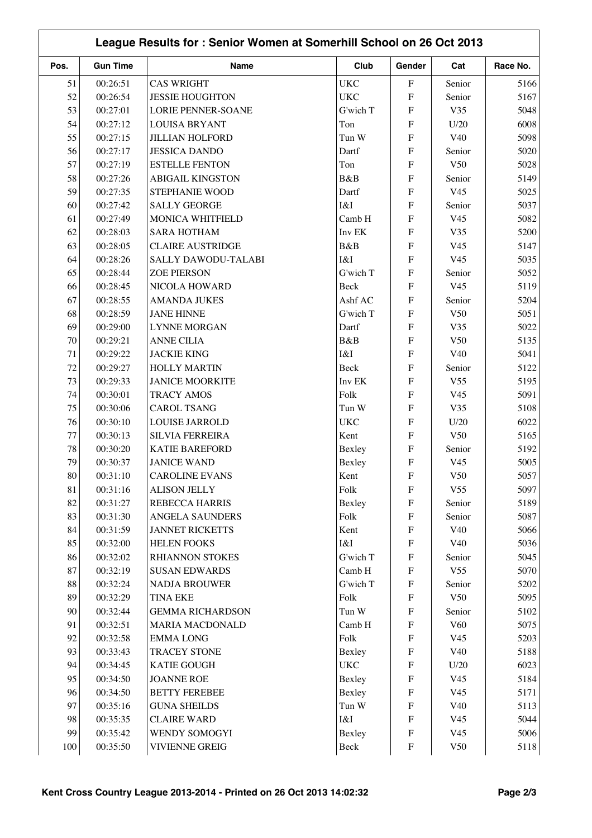| Pos.   | <b>Gun Time</b> | Name                      | Club       | Gender                    | Cat             | Race No. |  |
|--------|-----------------|---------------------------|------------|---------------------------|-----------------|----------|--|
| 51     | 00:26:51        | <b>CAS WRIGHT</b>         | <b>UKC</b> | $\boldsymbol{\mathrm{F}}$ | Senior          | 5166     |  |
| 52     | 00:26:54        | <b>JESSIE HOUGHTON</b>    | <b>UKC</b> | ${\bf F}$                 | Senior          | 5167     |  |
| 53     | 00:27:01        | <b>LORIE PENNER-SOANE</b> | G'wich T   | ${\bf F}$                 | V35             | 5048     |  |
| 54     | 00:27:12        | <b>LOUISA BRYANT</b>      | Ton        | ${\bf F}$                 | U/20            | 6008     |  |
| 55     | 00:27:15        | <b>JILLIAN HOLFORD</b>    | Tun W      | $\overline{F}$            | V40             | 5098     |  |
| 56     | 00:27:17        | <b>JESSICA DANDO</b>      | Dartf      | $\overline{F}$            | Senior          | 5020     |  |
| 57     | 00:27:19        | <b>ESTELLE FENTON</b>     | Ton        | $\overline{F}$            | V50             | 5028     |  |
| 58     | 00:27:26        | <b>ABIGAIL KINGSTON</b>   | B&B        | $\overline{F}$            | Senior          | 5149     |  |
| 59     | 00:27:35        | STEPHANIE WOOD            | Dartf      | ${\bf F}$                 | V <sub>45</sub> | 5025     |  |
| 60     | 00:27:42        | <b>SALLY GEORGE</b>       | I&I        | $\mathbf{F}$              | Senior          | 5037     |  |
| 61     | 00:27:49        | MONICA WHITFIELD          | Camb H     | ${\bf F}$                 | V <sub>45</sub> | 5082     |  |
| 62     | 00:28:03        | <b>SARA HOTHAM</b>        | Inv EK     | ${\bf F}$                 | V35             | 5200     |  |
| 63     | 00:28:05        | <b>CLAIRE AUSTRIDGE</b>   | B&B        | $\overline{F}$            | V <sub>45</sub> | 5147     |  |
| 64     | 00:28:26        | SALLY DAWODU-TALABI       | I&I        | ${\bf F}$                 | V <sub>45</sub> | 5035     |  |
| 65     | 00:28:44        | <b>ZOE PIERSON</b>        | G'wich T   | ${\bf F}$                 | Senior          | 5052     |  |
| 66     | 00:28:45        | NICOLA HOWARD             | Beck       | ${\bf F}$                 | V <sub>45</sub> | 5119     |  |
| 67     | 00:28:55        | <b>AMANDA JUKES</b>       | Ashf AC    | F                         | Senior          | 5204     |  |
| 68     | 00:28:59        | <b>JANE HINNE</b>         | G'wich T   | $\boldsymbol{\mathrm{F}}$ | V50             | 5051     |  |
| 69     | 00:29:00        | <b>LYNNE MORGAN</b>       | Dartf      | ${\bf F}$                 | V35             | 5022     |  |
| 70     | 00:29:21        | <b>ANNE CILIA</b>         | B&B        | $\overline{F}$            | V50             | 5135     |  |
| 71     | 00:29:22        | <b>JACKIE KING</b>        | I&I        | $\overline{F}$            | V40             | 5041     |  |
| 72     | 00:29:27        | <b>HOLLY MARTIN</b>       | Beck       | $\overline{F}$            | Senior          | 5122     |  |
| 73     | 00:29:33        | <b>JANICE MOORKITE</b>    | Inv EK     | ${\bf F}$                 | V <sub>55</sub> | 5195     |  |
| 74     | 00:30:01        | <b>TRACY AMOS</b>         | Folk       | $\overline{F}$            | V <sub>45</sub> | 5091     |  |
| 75     | 00:30:06        | <b>CAROL TSANG</b>        | Tun W      | ${\bf F}$                 | V35             | 5108     |  |
| 76     | 00:30:10        | <b>LOUISE JARROLD</b>     | <b>UKC</b> | ${\bf F}$                 | U/20            | 6022     |  |
| 77     | 00:30:13        | <b>SILVIA FERREIRA</b>    | Kent       | ${\bf F}$                 | V50             | 5165     |  |
|        |                 |                           |            |                           |                 |          |  |
| 78     | 00:30:20        | <b>KATIE BAREFORD</b>     | Bexley     | ${\bf F}$                 | Senior          | 5192     |  |
| 79     | 00:30:37        | <b>JANICE WAND</b>        | Bexley     | ${\bf F}$                 | V <sub>45</sub> | 5005     |  |
| $80\,$ | 00:31:10        | <b>CAROLINE EVANS</b>     | Kent       | ${\bf F}$                 | V50             | 5057     |  |
| 81     | 00:31:16        | <b>ALISON JELLY</b>       | Folk       | ${\bf F}$                 | V <sub>55</sub> | 5097     |  |
| 82     | 00:31:27        | <b>REBECCA HARRIS</b>     | Bexley     | ${\bf F}$                 | Senior          | 5189     |  |
| 83     | 00:31:30        | ANGELA SAUNDERS           | Folk       | $\boldsymbol{\mathrm{F}}$ | Senior          | 5087     |  |
| 84     | 00:31:59        | <b>JANNET RICKETTS</b>    | Kent       | $\boldsymbol{\mathrm{F}}$ | V40             | 5066     |  |
| 85     | 00:32:00        | <b>HELEN FOOKS</b>        | I&I        | ${\bf F}$                 | V40             | 5036     |  |
| 86     | 00:32:02        | RHIANNON STOKES           | G'wich T   | ${\bf F}$                 | Senior          | 5045     |  |
| 87     | 00:32:19        | <b>SUSAN EDWARDS</b>      | Camb H     | $\boldsymbol{\mathrm{F}}$ | V <sub>55</sub> | 5070     |  |
| $88\,$ | 00:32:24        | <b>NADJA BROUWER</b>      | G'wich T   | ${\bf F}$                 | Senior          | 5202     |  |
| 89     | 00:32:29        | <b>TINA EKE</b>           | Folk       | ${\bf F}$                 | V50             | 5095     |  |
| 90     | 00:32:44        | <b>GEMMA RICHARDSON</b>   | Tun W      | ${\bf F}$                 | Senior          | 5102     |  |
| 91     | 00:32:51        | MARIA MACDONALD           | Camb H     | ${\bf F}$                 | V <sub>60</sub> | 5075     |  |
| 92     | 00:32:58        | <b>EMMALONG</b>           | Folk       | $\boldsymbol{\mathrm{F}}$ | V <sub>45</sub> | 5203     |  |
| 93     | 00:33:43        | <b>TRACEY STONE</b>       | Bexley     | ${\bf F}$                 | V40             | 5188     |  |
| 94     | 00:34:45        | <b>KATIE GOUGH</b>        | <b>UKC</b> | ${\bf F}$                 | U/20            | 6023     |  |
| 95     | 00:34:50        | <b>JOANNE ROE</b>         | Bexley     | ${\bf F}$                 | V <sub>45</sub> | 5184     |  |
| 96     | 00:34:50        | <b>BETTY FEREBEE</b>      | Bexley     | $\boldsymbol{\mathrm{F}}$ | V <sub>45</sub> | 5171     |  |
| 97     | 00:35:16        | <b>GUNA SHEILDS</b>       | Tun W      | $\boldsymbol{\mathrm{F}}$ | V40             | 5113     |  |
| 98     | 00:35:35        | <b>CLAIRE WARD</b>        | I&I        | $\boldsymbol{\mathrm{F}}$ | V <sub>45</sub> | 5044     |  |
| 99     | 00:35:42        | WENDY SOMOGYI             | Bexley     | $\boldsymbol{\mathrm{F}}$ | V <sub>45</sub> | 5006     |  |
| 100    | 00:35:50        | <b>VIVIENNE GREIG</b>     | Beck       | ${\bf F}$                 | V50             | 5118     |  |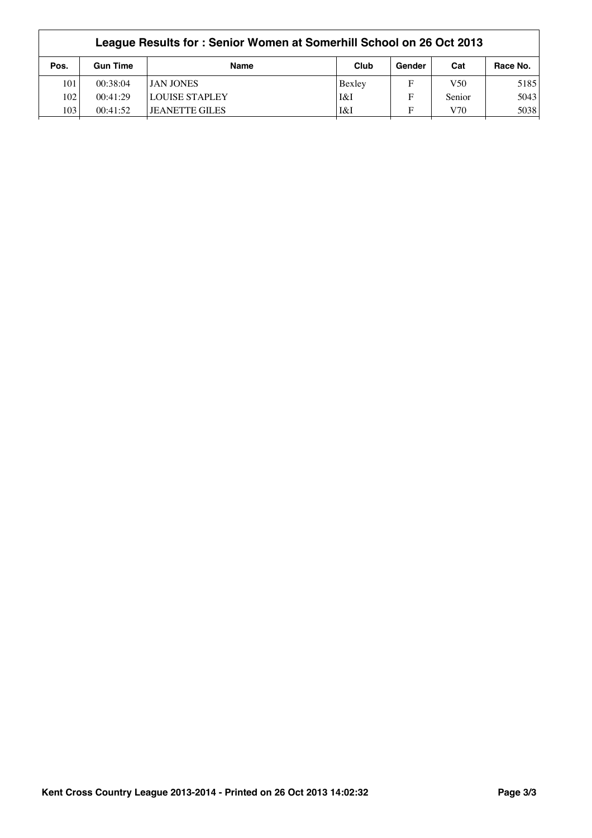| League Results for: Senior Women at Somerhill School on 26 Oct 2013 |                       |        |        |                 |          |  |  |
|---------------------------------------------------------------------|-----------------------|--------|--------|-----------------|----------|--|--|
| <b>Gun Time</b>                                                     | <b>Name</b>           | Club   | Gender | Cat             | Race No. |  |  |
| 00:38:04                                                            | <b>JAN JONES</b>      | Bexley | F      | V <sub>50</sub> | 5185     |  |  |
| 00:41:29                                                            | <b>LOUISE STAPLEY</b> | I&I    | F      | Senior          | 5043     |  |  |
| 00:41:52                                                            | <b>JEANETTE GILES</b> | I&I    | F      | V70             | 5038     |  |  |
|                                                                     |                       |        |        |                 |          |  |  |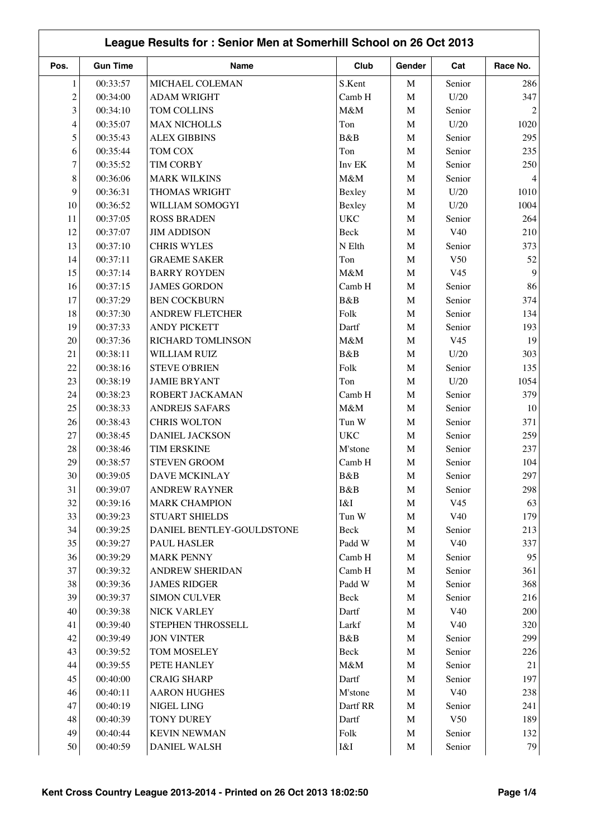| League Results for: Senior Men at Somerhill School on 26 Oct 2013 |                 |                           |            |             |                 |          |
|-------------------------------------------------------------------|-----------------|---------------------------|------------|-------------|-----------------|----------|
| Pos.                                                              | <b>Gun Time</b> | <b>Name</b>               | Club       | Gender      | Cat             | Race No. |
| 1                                                                 | 00:33:57        | MICHAEL COLEMAN           | S.Kent     | $\mathbf M$ | Senior          | 286      |
| $\overline{c}$                                                    | 00:34:00        | <b>ADAM WRIGHT</b>        | Camb H     | $\mathbf M$ | U/20            | 347      |
| 3                                                                 | 00:34:10        | TOM COLLINS               | M&M        | $\mathbf M$ | Senior          |          |
| $\overline{\mathcal{L}}$                                          | 00:35:07        | <b>MAX NICHOLLS</b>       | Ton        | $\mathbf M$ | U/20            | 1020     |
| 5                                                                 | 00:35:43        | <b>ALEX GIBBINS</b>       | B&B        | $\mathbf M$ | Senior          | 295      |
| 6                                                                 | 00:35:44        | <b>TOM COX</b>            | Ton        | $\mathbf M$ | Senior          | 235      |
| 7                                                                 | 00:35:52        | <b>TIM CORBY</b>          | Inv EK     | $\mathbf M$ | Senior          | 250      |
| $\,$ 8 $\,$                                                       | 00:36:06        | <b>MARK WILKINS</b>       | M&M        | M           | Senior          |          |
| 9                                                                 | 00:36:31        | THOMAS WRIGHT             | Bexley     | $\mathbf M$ | U/20            | 1010     |
| 10                                                                | 00:36:52        | WILLIAM SOMOGYI           | Bexley     | $\mathbf M$ | U/20            | 1004     |
| 11                                                                | 00:37:05        | <b>ROSS BRADEN</b>        | <b>UKC</b> | M           | Senior          | 264      |
| 12                                                                | 00:37:07        | <b>JIM ADDISON</b>        | Beck       | $\mathbf M$ | V40             | 210      |
| 13                                                                | 00:37:10        | <b>CHRIS WYLES</b>        | N Elth     | $\mathbf M$ | Senior          | 373      |
| 14                                                                | 00:37:11        | <b>GRAEME SAKER</b>       | Ton        | $\mathbf M$ | V50             | 52       |
| 15                                                                | 00:37:14        | <b>BARRY ROYDEN</b>       | M&M        | M           | V <sub>45</sub> | 9        |
| 16                                                                | 00:37:15        | <b>JAMES GORDON</b>       | Camb H     | $\mathbf M$ | Senior          | 86       |
| 17                                                                | 00:37:29        | <b>BEN COCKBURN</b>       | B&B        | $\mathbf M$ | Senior          | 374      |
| 18                                                                | 00:37:30        | <b>ANDREW FLETCHER</b>    | Folk       | $\mathbf M$ | Senior          | 134      |
| 19                                                                | 00:37:33        | <b>ANDY PICKETT</b>       | Dartf      | $\mathbf M$ | Senior          | 193      |
| 20                                                                | 00:37:36        | RICHARD TOMLINSON         | M&M        | $\mathbf M$ | V <sub>45</sub> | 19       |
| 21                                                                | 00:38:11        | WILLIAM RUIZ              | B&B        | $\mathbf M$ | U/20            | 303      |
| 22                                                                | 00:38:16        | <b>STEVE O'BRIEN</b>      | Folk       | $\mathbf M$ | Senior          | 135      |
| 23                                                                | 00:38:19        | <b>JAMIE BRYANT</b>       | Ton        | M           | U/20            | 1054     |
| 24                                                                | 00:38:23        | ROBERT JACKAMAN           | Camb H     | M           | Senior          | 379      |
| 25                                                                | 00:38:33        | <b>ANDREJS SAFARS</b>     | M&M        | $\mathbf M$ | Senior          | 10       |
| 26                                                                | 00:38:43        | <b>CHRIS WOLTON</b>       | Tun W      | M           | Senior          | 371      |
| 27                                                                | 00:38:45        | <b>DANIEL JACKSON</b>     | <b>UKC</b> | M           | Senior          | 259      |
| 28                                                                | 00:38:46        | <b>TIM ERSKINE</b>        | M'stone    | M           | Senior          | 237      |
| 29                                                                | 00:38:57        | <b>STEVEN GROOM</b>       | Camb H     | $\mathbf M$ | Senior          | 104      |
| $30\,$                                                            | 00:39:05        | DAVE MCKINLAY             | B&B        | M           | Senior          | 297      |
| 31                                                                | 00:39:07        | <b>ANDREW RAYNER</b>      | B&B        | M           | Senior          | 298      |
| 32                                                                | 00:39:16        | <b>MARK CHAMPION</b>      | I&I        | M           | V <sub>45</sub> | 63       |
| 33                                                                | 00:39:23        | <b>STUART SHIELDS</b>     | Tun W      | M           | V40             | 179      |
| 34                                                                | 00:39:25        | DANIEL BENTLEY-GOULDSTONE | Beck       | M           | Senior          | 213      |
| 35                                                                | 00:39:27        | PAUL HASLER               | Padd W     | M           | V40             | 337      |
| 36                                                                | 00:39:29        | <b>MARK PENNY</b>         | Camb H     | M           | Senior          | 95       |
| 37                                                                | 00:39:32        | ANDREW SHERIDAN           | Camb H     | M           | Senior          | 361      |
| $38\,$                                                            | 00:39:36        | <b>JAMES RIDGER</b>       | Padd W     | M           | Senior          | 368      |
| 39                                                                | 00:39:37        | <b>SIMON CULVER</b>       | Beck       | $\mathbf M$ | Senior          | 216      |
| 40                                                                | 00:39:38        | NICK VARLEY               | Dartf      | $\mathbf M$ | V40             | 200      |
| 41                                                                | 00:39:40        | STEPHEN THROSSELL         | Larkf      | M           | V40             | 320      |
| 42                                                                | 00:39:49        | <b>JON VINTER</b>         | B&B        | $\mathbf M$ | Senior          | 299      |
| 43                                                                | 00:39:52        | TOM MOSELEY               | Beck       | $\mathbf M$ | Senior          | 226      |
| 44                                                                | 00:39:55        | PETE HANLEY               | M&M        | M           | Senior          | 21       |
| 45                                                                | 00:40:00        | <b>CRAIG SHARP</b>        | Dartf      | M           | Senior          | 197      |
| 46                                                                | 00:40:11        | <b>AARON HUGHES</b>       | M'stone    | $\mathbf M$ | V40             | 238      |
| 47                                                                | 00:40:19        | NIGEL LING                | Dartf RR   | $\mathbf M$ | Senior          | 241      |
| 48                                                                | 00:40:39        | <b>TONY DUREY</b>         | Dartf      | M           | V50             | 189      |
| 49                                                                | 00:40:44        | <b>KEVIN NEWMAN</b>       | Folk       | M           | Senior          | 132      |
| 50                                                                | 00:40:59        | DANIEL WALSH              | I&I        | M           | Senior          | 79       |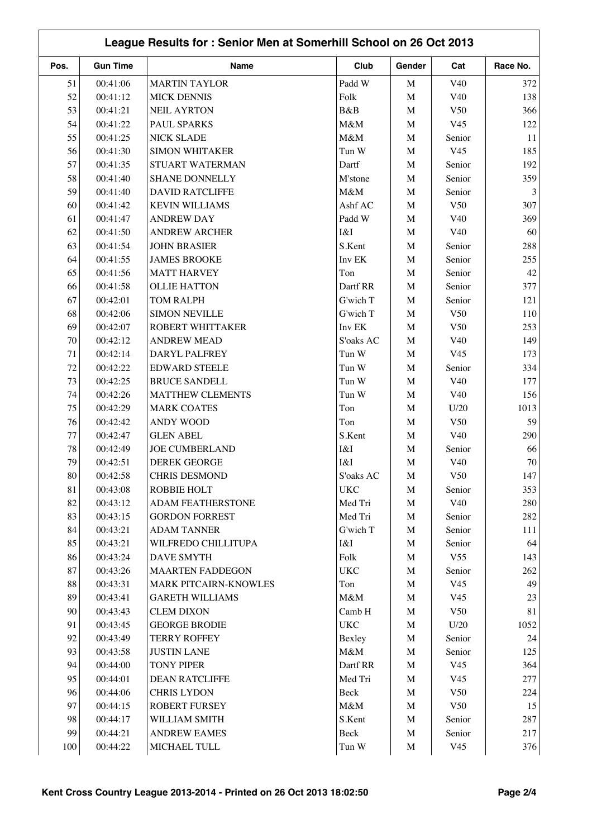|      |                 |                         | League Results for: Senior Men at Somerhill School on 26 Oct 2013 |             |                 |          |
|------|-----------------|-------------------------|-------------------------------------------------------------------|-------------|-----------------|----------|
| Pos. | <b>Gun Time</b> | Name                    | Club                                                              | Gender      | Cat             | Race No. |
| 51   | 00:41:06        | <b>MARTIN TAYLOR</b>    | Padd W                                                            | M           | V <sub>40</sub> | 372      |
| 52   | 00:41:12        | <b>MICK DENNIS</b>      | Folk                                                              | $\mathbf M$ | V40             | 138      |
| 53   | 00:41:21        | <b>NEIL AYRTON</b>      | B&B                                                               | M           | V50             | 366      |
| 54   | 00:41:22        | PAUL SPARKS             | M&M                                                               | M           | V <sub>45</sub> | 122      |
| 55   | 00:41:25        | <b>NICK SLADE</b>       | M&M                                                               | M           | Senior          | 11       |
| 56   | 00:41:30        | <b>SIMON WHITAKER</b>   | Tun W                                                             | M           | V <sub>45</sub> | 185      |
| 57   | 00:41:35        | STUART WATERMAN         | Dartf                                                             | M           | Senior          | 192      |
| 58   | 00:41:40        | <b>SHANE DONNELLY</b>   | M'stone                                                           | M           | Senior          | 359      |
| 59   | 00:41:40        | <b>DAVID RATCLIFFE</b>  | M&M                                                               | M           | Senior          |          |
| 60   | 00:41:42        | <b>KEVIN WILLIAMS</b>   | Ashf AC                                                           | M           | V50             | 307      |
| 61   | 00:41:47        | <b>ANDREW DAY</b>       | Padd W                                                            | M           | V40             | 369      |
| 62   | 00:41:50        | <b>ANDREW ARCHER</b>    | I&I                                                               | $\mathbf M$ | V40             | 60       |
| 63   | 00:41:54        | <b>JOHN BRASIER</b>     | S.Kent                                                            | M           | Senior          | 288      |
| 64   | 00:41:55        | <b>JAMES BROOKE</b>     | Inv EK                                                            | M           | Senior          | 255      |
| 65   | 00:41:56        | <b>MATT HARVEY</b>      | Ton                                                               | M           | Senior          | 42       |
| 66   | 00:41:58        | <b>OLLIE HATTON</b>     | Dartf RR                                                          | M           | Senior          | 377      |
| 67   | 00:42:01        | <b>TOM RALPH</b>        | G'wich T                                                          | M           | Senior          | 121      |
| 68   | 00:42:06        | <b>SIMON NEVILLE</b>    | G'wich T                                                          | M           | V50             | 110      |
| 69   | 00:42:07        | ROBERT WHITTAKER        | Inv EK                                                            | M           | V <sub>50</sub> | 253      |
| 70   | 00:42:12        | <b>ANDREW MEAD</b>      | S'oaks AC                                                         | M           | V40             | 149      |
| 71   | 00:42:14        | DARYL PALFREY           | Tun W                                                             | M           | V <sub>45</sub> | 173      |
| 72   | 00:42:22        | <b>EDWARD STEELE</b>    | Tun W                                                             | M           | Senior          | 334      |
| 73   | 00:42:25        | <b>BRUCE SANDELL</b>    | Tun W                                                             | M           | V40             | 177      |
| 74   | 00:42:26        | <b>MATTHEW CLEMENTS</b> | Tun W                                                             | M           | V40             | 156      |
| 75   | 00:42:29        | <b>MARK COATES</b>      | Ton                                                               | M           | U/20            | 1013     |
| 76   | 00:42:42        | <b>ANDY WOOD</b>        | Ton                                                               | M           | V50             | 59       |
| 77   | 00:42:47        | <b>GLEN ABEL</b>        | S.Kent                                                            | M           | V40             | 290      |
| 78   | 00:42:49        | <b>JOE CUMBERLAND</b>   | I&I                                                               | M           | Senior          | 66       |
| 79   | 00:42:51        | <b>DEREK GEORGE</b>     | I&I                                                               | M           | V40             | 70       |
|      |                 |                         |                                                                   |             |                 |          |
| 80   | 00:42:58        | CHRIS DESMOND           | S'oaks AC                                                         | M           | V50             | 147      |
| 81   | 00:43:08        | ROBBIE HOLT             | <b>UKC</b>                                                        | M           | Senior          | 353      |
| 82   | 00:43:12        | ADAM FEATHERSTONE       | Med Tri                                                           | M           | V40             | 280      |
| 83   | 00:43:15        | <b>GORDON FORREST</b>   | Med Tri                                                           | M           | Senior          | 282      |
| 84   | 00:43:21        | <b>ADAM TANNER</b>      | G'wich T                                                          | $\mathbf M$ | Senior          | 111      |
| 85   | 00:43:21        | WILFREDO CHILLITUPA     | I&I                                                               | $\mathbf M$ | Senior          | 64       |
| 86   | 00:43:24        | DAVE SMYTH              | Folk                                                              | $\mathbf M$ | V <sub>55</sub> | 143      |
| 87   | 00:43:26        | <b>MAARTEN FADDEGON</b> | <b>UKC</b>                                                        | M           | Senior          | 262      |
| 88   | 00:43:31        | MARK PITCAIRN-KNOWLES   | Ton                                                               | $\mathbf M$ | V <sub>45</sub> | 49       |
| 89   | 00:43:41        | <b>GARETH WILLIAMS</b>  | M&M                                                               | M           | V <sub>45</sub> | 23       |
| 90   | 00:43:43        | <b>CLEM DIXON</b>       | Camb H                                                            | $\mathbf M$ | V50             | 81       |
| 91   | 00:43:45        | <b>GEORGE BRODIE</b>    | <b>UKC</b>                                                        | M           | U/20            | 1052     |
| 92   | 00:43:49        | <b>TERRY ROFFEY</b>     | Bexley                                                            | M           | Senior          | 24       |
| 93   | 00:43:58        | <b>JUSTIN LANE</b>      | $M\&M$                                                            | $\mathbf M$ | Senior          | 125      |
| 94   | 00:44:00        | <b>TONY PIPER</b>       | Dartf RR                                                          | M           | V <sub>45</sub> | 364      |
| 95   | 00:44:01        | <b>DEAN RATCLIFFE</b>   | Med Tri                                                           | M           | V <sub>45</sub> | 277      |
| 96   | 00:44:06        | <b>CHRIS LYDON</b>      | Beck                                                              | M           | V <sub>50</sub> | 224      |
| 97   | 00:44:15        | <b>ROBERT FURSEY</b>    | $M\&M$                                                            | M           | V <sub>50</sub> | 15       |
| 98   | 00:44:17        | WILLIAM SMITH           | S.Kent                                                            | M           | Senior          | 287      |
| 99   | 00:44:21        | <b>ANDREW EAMES</b>     | Beck                                                              | $\mathbf M$ | Senior          | 217      |
| 100  | 00:44:22        | MICHAEL TULL            | Tun W                                                             | $\mathbf M$ | V <sub>45</sub> | 376      |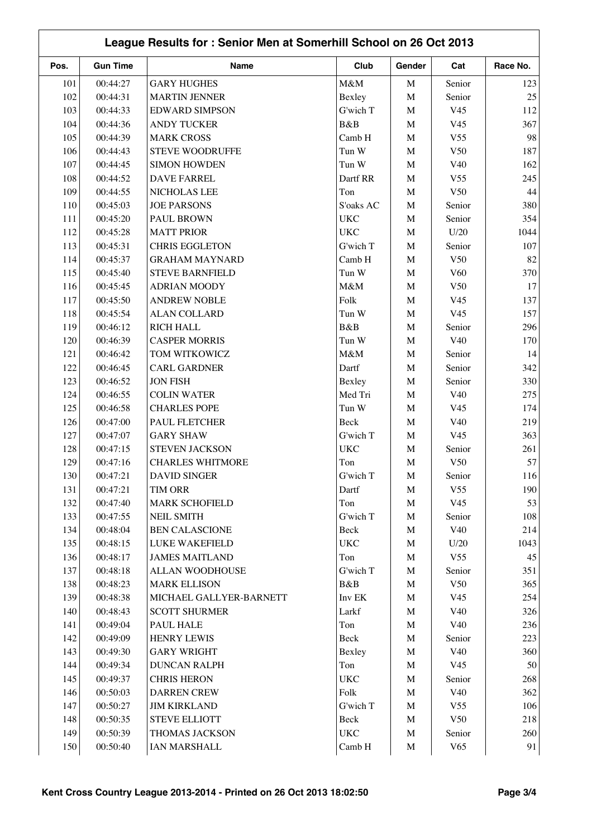| League Results for: Senior Men at Somerhill School on 26 Oct 2013 |                      |                                   |              |             |                 |          |
|-------------------------------------------------------------------|----------------------|-----------------------------------|--------------|-------------|-----------------|----------|
| Pos.                                                              | <b>Gun Time</b>      | Name                              | Club         | Gender      | Cat             | Race No. |
| 101                                                               | 00:44:27             | <b>GARY HUGHES</b>                | M&M          | $\mathbf M$ | Senior          | 123      |
| 102                                                               | 00:44:31             | <b>MARTIN JENNER</b>              | Bexley       | $\mathbf M$ | Senior          | 25       |
| 103                                                               | 00:44:33             | <b>EDWARD SIMPSON</b>             | G'wich T     | $\mathbf M$ | V <sub>45</sub> | 112      |
| 104                                                               | 00:44:36             | <b>ANDY TUCKER</b>                | B&B          | M           | V <sub>45</sub> | 367      |
| 105                                                               | 00:44:39             | <b>MARK CROSS</b>                 | Camb H       | $\mathbf M$ | V <sub>55</sub> | 98       |
| 106                                                               | 00:44:43             | <b>STEVE WOODRUFFE</b>            | Tun W        | $\mathbf M$ | V50             | 187      |
| 107                                                               | 00:44:45             | <b>SIMON HOWDEN</b>               | Tun W        | $\mathbf M$ | V40             | 162      |
| 108                                                               | 00:44:52             | <b>DAVE FARREL</b>                | Dartf RR     | M           | V <sub>55</sub> | 245      |
| 109                                                               | 00:44:55             | NICHOLAS LEE                      | Ton          | $\mathbf M$ | V50             | 44       |
| 110                                                               | 00:45:03             | <b>JOE PARSONS</b>                | S'oaks AC    | $\mathbf M$ | Senior          | 380      |
| 111                                                               | 00:45:20             | PAUL BROWN                        | <b>UKC</b>   | M           | Senior          | 354      |
| 112                                                               | 00:45:28             | <b>MATT PRIOR</b>                 | <b>UKC</b>   | M           | U/20            | 1044     |
| 113                                                               | 00:45:31             | <b>CHRIS EGGLETON</b>             | G'wich T     | $\mathbf M$ | Senior          | 107      |
| 114                                                               | 00:45:37             | <b>GRAHAM MAYNARD</b>             | Camb H       | $\mathbf M$ | V50             | 82       |
| 115                                                               | 00:45:40             | <b>STEVE BARNFIELD</b>            | Tun W        | $\mathbf M$ | V <sub>60</sub> | 370      |
| 116                                                               | 00:45:45             | <b>ADRIAN MOODY</b>               | M&M          | $\mathbf M$ | V50             | 17       |
| 117                                                               | 00:45:50             | <b>ANDREW NOBLE</b>               | Folk         | $\mathbf M$ | V <sub>45</sub> | 137      |
| 118                                                               | 00:45:54             | <b>ALAN COLLARD</b>               | Tun W        | $\mathbf M$ | V <sub>45</sub> | 157      |
| 119                                                               | 00:46:12             | <b>RICH HALL</b>                  | B&B          | $\mathbf M$ | Senior          | 296      |
| 120                                                               | 00:46:39             | <b>CASPER MORRIS</b>              | Tun W        | $\mathbf M$ | V40             | 170      |
| 121                                                               | 00:46:42             | TOM WITKOWICZ                     | M&M          | $\mathbf M$ | Senior          | 14       |
| 122                                                               | 00:46:45             | <b>CARL GARDNER</b>               | Dartf        | M           | Senior          | 342      |
| 123                                                               | 00:46:52             | <b>JON FISH</b>                   | Bexley       | $\mathbf M$ | Senior          | 330      |
| 124                                                               | 00:46:55             | <b>COLIN WATER</b>                | Med Tri      | M           | V40             | 275      |
| 125                                                               | 00:46:58             | <b>CHARLES POPE</b>               | Tun W        | $\mathbf M$ | V <sub>45</sub> | 174      |
| 126                                                               | 00:47:00             | PAUL FLETCHER                     | Beck         | M           | V40             | 219      |
| 127                                                               | 00:47:07             | <b>GARY SHAW</b>                  | G'wich T     | M           | V <sub>45</sub> | 363      |
| 128                                                               | 00:47:15             | STEVEN JACKSON                    | <b>UKC</b>   | $\mathbf M$ | Senior          | 261      |
| 129                                                               | 00:47:16             | <b>CHARLES WHITMORE</b>           | Ton          | M           | V <sub>50</sub> | 57       |
| 130                                                               | 00:47:21             | <b>DAVID SINGER</b>               | G'wich T     | M           | Senior          | 116      |
|                                                                   | 00:47:21             | TIM ORR                           | Dartf        | M           | V <sub>55</sub> | 190      |
| 131<br>132                                                        | 00:47:40             | <b>MARK SCHOFIELD</b>             | Ton          | M           | V <sub>45</sub> | 53       |
| 133                                                               | 00:47:55             | <b>NEIL SMITH</b>                 | G'wich T     | M           | Senior          | 108      |
| 134                                                               | 00:48:04             | <b>BEN CALASCIONE</b>             | Beck         | M           | V40             | 214      |
| 135                                                               | 00:48:15             | LUKE WAKEFIELD                    | <b>UKC</b>   | M           | U/20            | 1043     |
| 136                                                               | 00:48:17             | <b>JAMES MAITLAND</b>             | Ton          | M           | V <sub>55</sub> | 45       |
| 137                                                               | 00:48:18             | ALLAN WOODHOUSE                   | G'wich T     | M           | Senior          | 351      |
| 138                                                               | 00:48:23             | <b>MARK ELLISON</b>               | B&B          | M           | V50             | 365      |
| 139                                                               |                      |                                   | Inv EK       |             | V <sub>45</sub> | 254      |
| 140                                                               | 00:48:38             | MICHAEL GALLYER-BARNETT           |              | M           |                 |          |
| 141                                                               | 00:48:43<br>00:49:04 | <b>SCOTT SHURMER</b><br>PAUL HALE | Larkf<br>Ton | M           | V40<br>V40      | 326      |
|                                                                   | 00:49:09             | <b>HENRY LEWIS</b>                |              | M           |                 | 236      |
| 142                                                               |                      |                                   | Beck         | M           | Senior          | 223      |
| 143                                                               | 00:49:30             | <b>GARY WRIGHT</b>                | Bexley       | M           | V40             | 360      |
| 144                                                               | 00:49:34             | <b>DUNCAN RALPH</b>               | Ton          | M           | V <sub>45</sub> | 50       |
| 145                                                               | 00:49:37             | <b>CHRIS HERON</b>                | <b>UKC</b>   | M           | Senior          | 268      |
| 146                                                               | 00:50:03             | <b>DARREN CREW</b>                | Folk         | M           | V40             | 362      |
| 147                                                               | 00:50:27             | <b>JIM KIRKLAND</b>               | G'wich T     | M           | V <sub>55</sub> | 106      |
| 148                                                               | 00:50:35             | <b>STEVE ELLIOTT</b>              | Beck         | M           | V50             | 218      |
| 149                                                               | 00:50:39             | THOMAS JACKSON                    | <b>UKC</b>   | M           | Senior          | 260      |
| 150                                                               | 00:50:40             | IAN MARSHALL                      | Camb H       | M           | V65             | 91       |